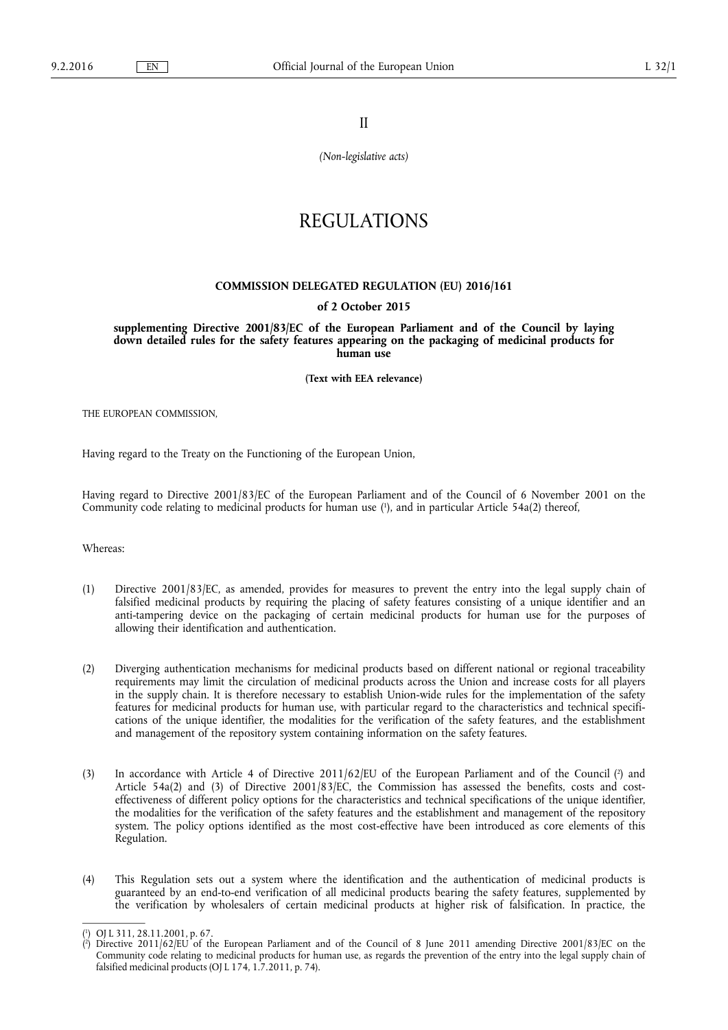II

*(Non-legislative acts)* 

# REGULATIONS

# **COMMISSION DELEGATED REGULATION (EU) 2016/161**

### **of 2 October 2015**

**supplementing Directive 2001/83/EC of the European Parliament and of the Council by laying down detailed rules for the safety features appearing on the packaging of medicinal products for human use** 

**(Text with EEA relevance)** 

THE EUROPEAN COMMISSION,

Having regard to the Treaty on the Functioning of the European Union,

Having regard to Directive 2001/83/EC of the European Parliament and of the Council of 6 November 2001 on the Community code relating to medicinal products for human use ( 1 ), and in particular Article 54a(2) thereof,

Whereas:

- (1) Directive 2001/83/EC, as amended, provides for measures to prevent the entry into the legal supply chain of falsified medicinal products by requiring the placing of safety features consisting of a unique identifier and an anti-tampering device on the packaging of certain medicinal products for human use for the purposes of allowing their identification and authentication.
- (2) Diverging authentication mechanisms for medicinal products based on different national or regional traceability requirements may limit the circulation of medicinal products across the Union and increase costs for all players in the supply chain. It is therefore necessary to establish Union-wide rules for the implementation of the safety features for medicinal products for human use, with particular regard to the characteristics and technical specifications of the unique identifier, the modalities for the verification of the safety features, and the establishment and management of the repository system containing information on the safety features.
- (3) In accordance with Article 4 of Directive 2011/62/EU of the European Parliament and of the Council ( $\hat{r}$ ) and Article 54a(2) and (3) of Directive 2001/83/EC, the Commission has assessed the benefits, costs and costeffectiveness of different policy options for the characteristics and technical specifications of the unique identifier, the modalities for the verification of the safety features and the establishment and management of the repository system. The policy options identified as the most cost-effective have been introduced as core elements of this Regulation.
- (4) This Regulation sets out a system where the identification and the authentication of medicinal products is guaranteed by an end-to-end verification of all medicinal products bearing the safety features, supplemented by the verification by wholesalers of certain medicinal products at higher risk of falsification. In practice, the

<sup>(</sup> 1 ) OJ L 311, 28.11.2001, p. 67.

<sup>(</sup> 2 ) Directive 2011/62/EU of the European Parliament and of the Council of 8 June 2011 amending Directive 2001/83/EC on the Community code relating to medicinal products for human use, as regards the prevention of the entry into the legal supply chain of falsified medicinal products (OJ L 174, 1.7.2011, p. 74).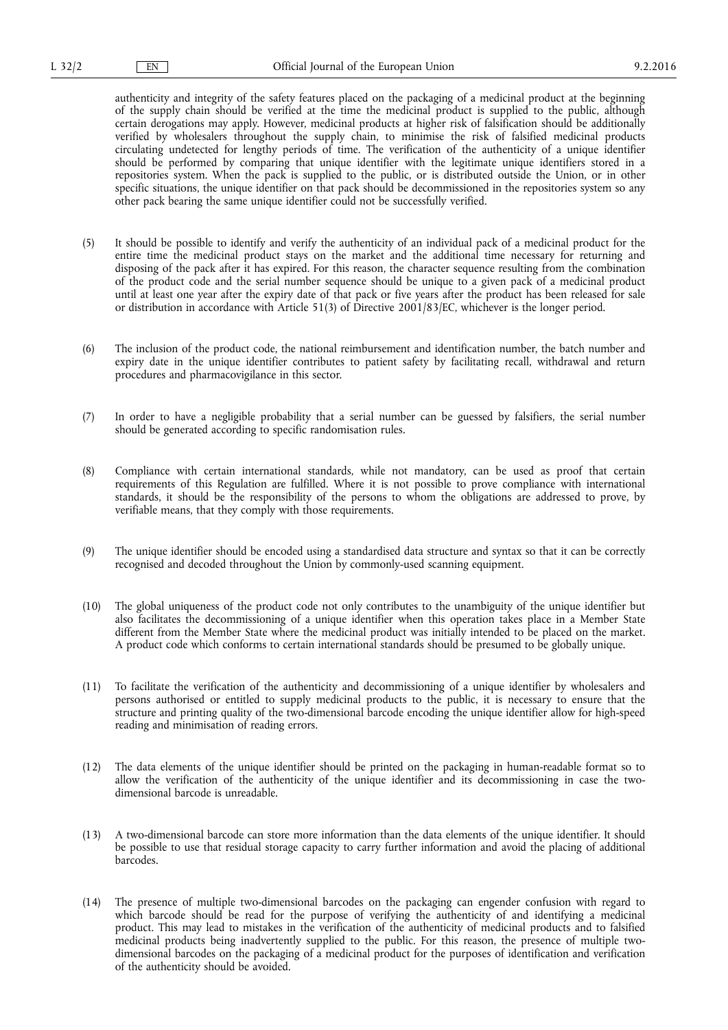authenticity and integrity of the safety features placed on the packaging of a medicinal product at the beginning of the supply chain should be verified at the time the medicinal product is supplied to the public, although certain derogations may apply. However, medicinal products at higher risk of falsification should be additionally verified by wholesalers throughout the supply chain, to minimise the risk of falsified medicinal products circulating undetected for lengthy periods of time. The verification of the authenticity of a unique identifier should be performed by comparing that unique identifier with the legitimate unique identifiers stored in a repositories system. When the pack is supplied to the public, or is distributed outside the Union, or in other specific situations, the unique identifier on that pack should be decommissioned in the repositories system so any other pack bearing the same unique identifier could not be successfully verified.

- (5) It should be possible to identify and verify the authenticity of an individual pack of a medicinal product for the entire time the medicinal product stays on the market and the additional time necessary for returning and disposing of the pack after it has expired. For this reason, the character sequence resulting from the combination of the product code and the serial number sequence should be unique to a given pack of a medicinal product until at least one year after the expiry date of that pack or five years after the product has been released for sale or distribution in accordance with Article 51(3) of Directive 2001/83/EC, whichever is the longer period.
- (6) The inclusion of the product code, the national reimbursement and identification number, the batch number and expiry date in the unique identifier contributes to patient safety by facilitating recall, withdrawal and return procedures and pharmacovigilance in this sector.
- (7) In order to have a negligible probability that a serial number can be guessed by falsifiers, the serial number should be generated according to specific randomisation rules.
- (8) Compliance with certain international standards, while not mandatory, can be used as proof that certain requirements of this Regulation are fulfilled. Where it is not possible to prove compliance with international standards, it should be the responsibility of the persons to whom the obligations are addressed to prove, by verifiable means, that they comply with those requirements.
- (9) The unique identifier should be encoded using a standardised data structure and syntax so that it can be correctly recognised and decoded throughout the Union by commonly-used scanning equipment.
- (10) The global uniqueness of the product code not only contributes to the unambiguity of the unique identifier but also facilitates the decommissioning of a unique identifier when this operation takes place in a Member State different from the Member State where the medicinal product was initially intended to be placed on the market. A product code which conforms to certain international standards should be presumed to be globally unique.
- (11) To facilitate the verification of the authenticity and decommissioning of a unique identifier by wholesalers and persons authorised or entitled to supply medicinal products to the public, it is necessary to ensure that the structure and printing quality of the two-dimensional barcode encoding the unique identifier allow for high-speed reading and minimisation of reading errors.
- (12) The data elements of the unique identifier should be printed on the packaging in human-readable format so to allow the verification of the authenticity of the unique identifier and its decommissioning in case the twodimensional barcode is unreadable.
- (13) A two-dimensional barcode can store more information than the data elements of the unique identifier. It should be possible to use that residual storage capacity to carry further information and avoid the placing of additional barcodes.
- (14) The presence of multiple two-dimensional barcodes on the packaging can engender confusion with regard to which barcode should be read for the purpose of verifying the authenticity of and identifying a medicinal product. This may lead to mistakes in the verification of the authenticity of medicinal products and to falsified medicinal products being inadvertently supplied to the public. For this reason, the presence of multiple twodimensional barcodes on the packaging of a medicinal product for the purposes of identification and verification of the authenticity should be avoided.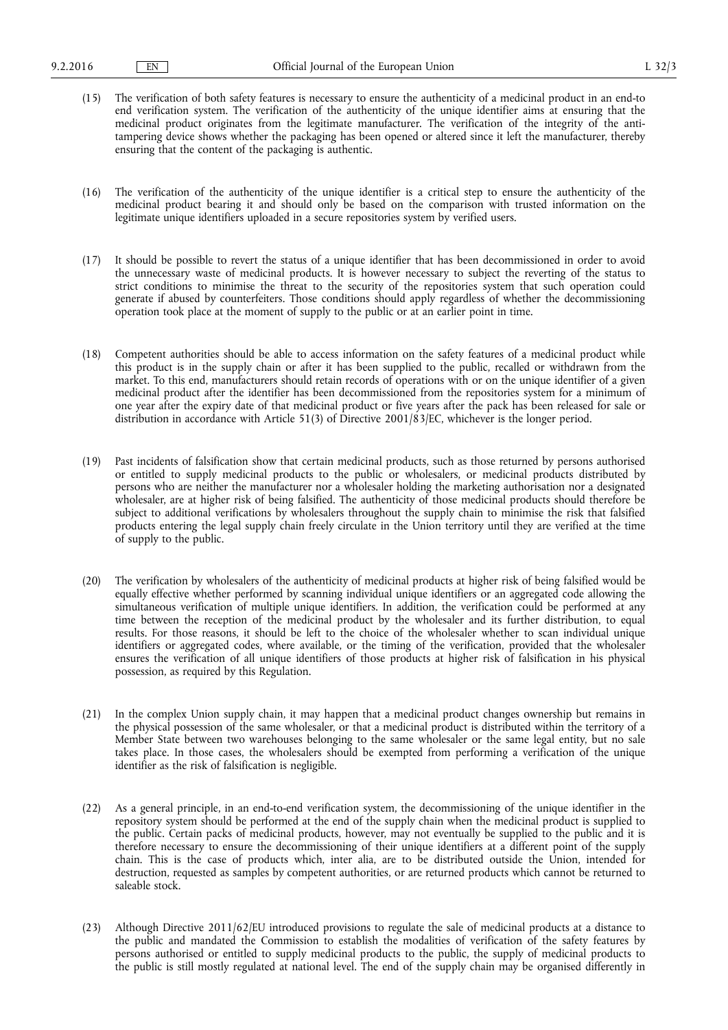- (15) The verification of both safety features is necessary to ensure the authenticity of a medicinal product in an end-to end verification system. The verification of the authenticity of the unique identifier aims at ensuring that the medicinal product originates from the legitimate manufacturer. The verification of the integrity of the antitampering device shows whether the packaging has been opened or altered since it left the manufacturer, thereby ensuring that the content of the packaging is authentic.
- (16) The verification of the authenticity of the unique identifier is a critical step to ensure the authenticity of the medicinal product bearing it and should only be based on the comparison with trusted information on the legitimate unique identifiers uploaded in a secure repositories system by verified users.
- (17) It should be possible to revert the status of a unique identifier that has been decommissioned in order to avoid the unnecessary waste of medicinal products. It is however necessary to subject the reverting of the status to strict conditions to minimise the threat to the security of the repositories system that such operation could generate if abused by counterfeiters. Those conditions should apply regardless of whether the decommissioning operation took place at the moment of supply to the public or at an earlier point in time.
- (18) Competent authorities should be able to access information on the safety features of a medicinal product while this product is in the supply chain or after it has been supplied to the public, recalled or withdrawn from the market. To this end, manufacturers should retain records of operations with or on the unique identifier of a given medicinal product after the identifier has been decommissioned from the repositories system for a minimum of one year after the expiry date of that medicinal product or five years after the pack has been released for sale or distribution in accordance with Article 51(3) of Directive 2001/83/EC, whichever is the longer period.
- (19) Past incidents of falsification show that certain medicinal products, such as those returned by persons authorised or entitled to supply medicinal products to the public or wholesalers, or medicinal products distributed by persons who are neither the manufacturer nor a wholesaler holding the marketing authorisation nor a designated wholesaler, are at higher risk of being falsified. The authenticity of those medicinal products should therefore be subject to additional verifications by wholesalers throughout the supply chain to minimise the risk that falsified products entering the legal supply chain freely circulate in the Union territory until they are verified at the time of supply to the public.
- (20) The verification by wholesalers of the authenticity of medicinal products at higher risk of being falsified would be equally effective whether performed by scanning individual unique identifiers or an aggregated code allowing the simultaneous verification of multiple unique identifiers. In addition, the verification could be performed at any time between the reception of the medicinal product by the wholesaler and its further distribution, to equal results. For those reasons, it should be left to the choice of the wholesaler whether to scan individual unique identifiers or aggregated codes, where available, or the timing of the verification, provided that the wholesaler ensures the verification of all unique identifiers of those products at higher risk of falsification in his physical possession, as required by this Regulation.
- (21) In the complex Union supply chain, it may happen that a medicinal product changes ownership but remains in the physical possession of the same wholesaler, or that a medicinal product is distributed within the territory of a Member State between two warehouses belonging to the same wholesaler or the same legal entity, but no sale takes place. In those cases, the wholesalers should be exempted from performing a verification of the unique identifier as the risk of falsification is negligible.
- (22) As a general principle, in an end-to-end verification system, the decommissioning of the unique identifier in the repository system should be performed at the end of the supply chain when the medicinal product is supplied to the public. Certain packs of medicinal products, however, may not eventually be supplied to the public and it is therefore necessary to ensure the decommissioning of their unique identifiers at a different point of the supply chain. This is the case of products which, inter alia, are to be distributed outside the Union, intended for destruction, requested as samples by competent authorities, or are returned products which cannot be returned to saleable stock.
- (23) Although Directive 2011/62/EU introduced provisions to regulate the sale of medicinal products at a distance to the public and mandated the Commission to establish the modalities of verification of the safety features by persons authorised or entitled to supply medicinal products to the public, the supply of medicinal products to the public is still mostly regulated at national level. The end of the supply chain may be organised differently in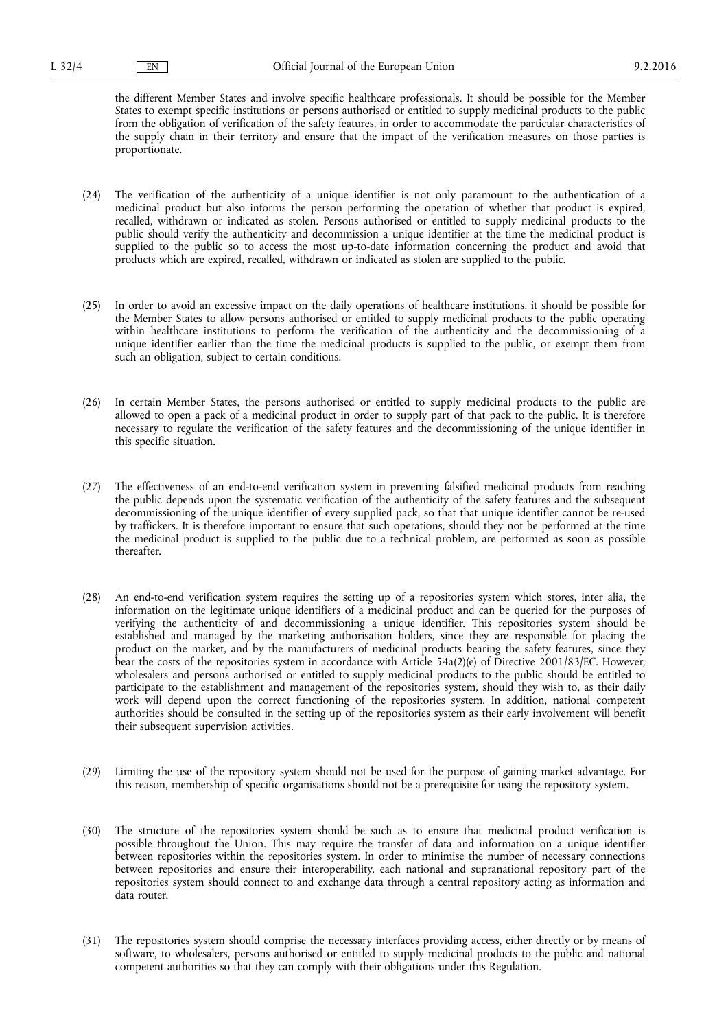the different Member States and involve specific healthcare professionals. It should be possible for the Member States to exempt specific institutions or persons authorised or entitled to supply medicinal products to the public from the obligation of verification of the safety features, in order to accommodate the particular characteristics of the supply chain in their territory and ensure that the impact of the verification measures on those parties is proportionate.

- (24) The verification of the authenticity of a unique identifier is not only paramount to the authentication of a medicinal product but also informs the person performing the operation of whether that product is expired, recalled, withdrawn or indicated as stolen. Persons authorised or entitled to supply medicinal products to the public should verify the authenticity and decommission a unique identifier at the time the medicinal product is supplied to the public so to access the most up-to-date information concerning the product and avoid that products which are expired, recalled, withdrawn or indicated as stolen are supplied to the public.
- (25) In order to avoid an excessive impact on the daily operations of healthcare institutions, it should be possible for the Member States to allow persons authorised or entitled to supply medicinal products to the public operating within healthcare institutions to perform the verification of the authenticity and the decommissioning of a unique identifier earlier than the time the medicinal products is supplied to the public, or exempt them from such an obligation, subject to certain conditions.
- (26) In certain Member States, the persons authorised or entitled to supply medicinal products to the public are allowed to open a pack of a medicinal product in order to supply part of that pack to the public. It is therefore necessary to regulate the verification of the safety features and the decommissioning of the unique identifier in this specific situation.
- (27) The effectiveness of an end-to-end verification system in preventing falsified medicinal products from reaching the public depends upon the systematic verification of the authenticity of the safety features and the subsequent decommissioning of the unique identifier of every supplied pack, so that that unique identifier cannot be re-used by traffickers. It is therefore important to ensure that such operations, should they not be performed at the time the medicinal product is supplied to the public due to a technical problem, are performed as soon as possible thereafter.
- (28) An end-to-end verification system requires the setting up of a repositories system which stores, inter alia, the information on the legitimate unique identifiers of a medicinal product and can be queried for the purposes of verifying the authenticity of and decommissioning a unique identifier. This repositories system should be established and managed by the marketing authorisation holders, since they are responsible for placing the product on the market, and by the manufacturers of medicinal products bearing the safety features, since they bear the costs of the repositories system in accordance with Article 54a(2)(e) of Directive 2001/83/EC. However, wholesalers and persons authorised or entitled to supply medicinal products to the public should be entitled to participate to the establishment and management of the repositories system, should they wish to, as their daily work will depend upon the correct functioning of the repositories system. In addition, national competent authorities should be consulted in the setting up of the repositories system as their early involvement will benefit their subsequent supervision activities.
- (29) Limiting the use of the repository system should not be used for the purpose of gaining market advantage. For this reason, membership of specific organisations should not be a prerequisite for using the repository system.
- (30) The structure of the repositories system should be such as to ensure that medicinal product verification is possible throughout the Union. This may require the transfer of data and information on a unique identifier between repositories within the repositories system. In order to minimise the number of necessary connections between repositories and ensure their interoperability, each national and supranational repository part of the repositories system should connect to and exchange data through a central repository acting as information and data router.
- (31) The repositories system should comprise the necessary interfaces providing access, either directly or by means of software, to wholesalers, persons authorised or entitled to supply medicinal products to the public and national competent authorities so that they can comply with their obligations under this Regulation.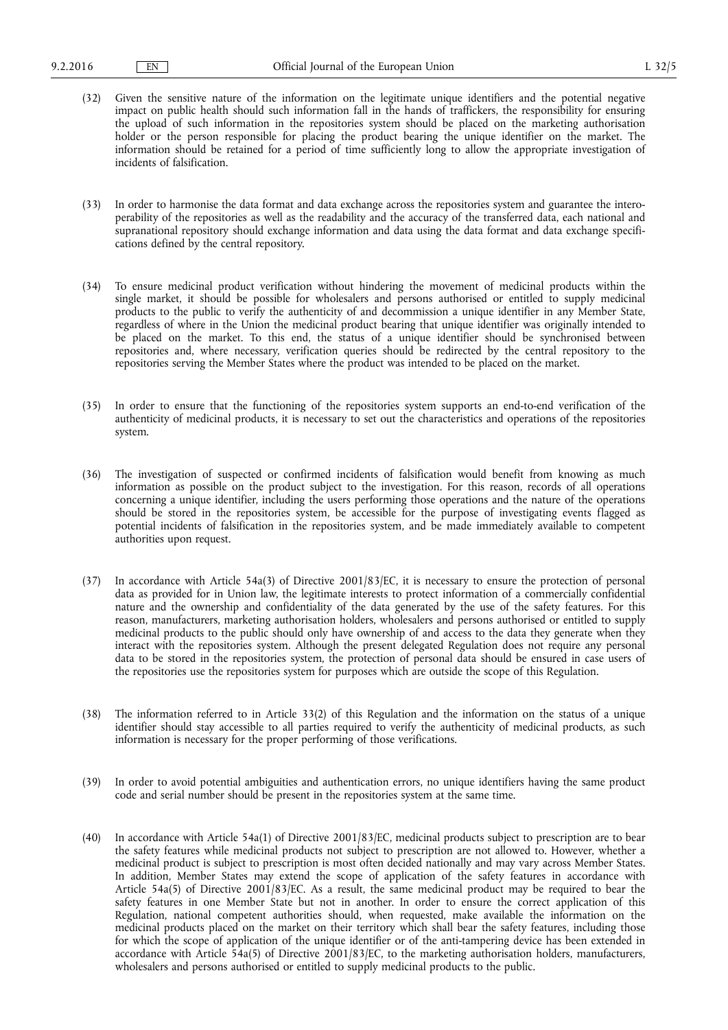- (32) Given the sensitive nature of the information on the legitimate unique identifiers and the potential negative impact on public health should such information fall in the hands of traffickers, the responsibility for ensuring the upload of such information in the repositories system should be placed on the marketing authorisation holder or the person responsible for placing the product bearing the unique identifier on the market. The information should be retained for a period of time sufficiently long to allow the appropriate investigation of incidents of falsification.
- (33) In order to harmonise the data format and data exchange across the repositories system and guarantee the interoperability of the repositories as well as the readability and the accuracy of the transferred data, each national and supranational repository should exchange information and data using the data format and data exchange specifications defined by the central repository.
- (34) To ensure medicinal product verification without hindering the movement of medicinal products within the single market, it should be possible for wholesalers and persons authorised or entitled to supply medicinal products to the public to verify the authenticity of and decommission a unique identifier in any Member State, regardless of where in the Union the medicinal product bearing that unique identifier was originally intended to be placed on the market. To this end, the status of a unique identifier should be synchronised between repositories and, where necessary, verification queries should be redirected by the central repository to the repositories serving the Member States where the product was intended to be placed on the market.
- (35) In order to ensure that the functioning of the repositories system supports an end-to-end verification of the authenticity of medicinal products, it is necessary to set out the characteristics and operations of the repositories system.
- (36) The investigation of suspected or confirmed incidents of falsification would benefit from knowing as much information as possible on the product subject to the investigation. For this reason, records of all operations concerning a unique identifier, including the users performing those operations and the nature of the operations should be stored in the repositories system, be accessible for the purpose of investigating events flagged as potential incidents of falsification in the repositories system, and be made immediately available to competent authorities upon request.
- (37) In accordance with Article 54a(3) of Directive 2001/83/EC, it is necessary to ensure the protection of personal data as provided for in Union law, the legitimate interests to protect information of a commercially confidential nature and the ownership and confidentiality of the data generated by the use of the safety features. For this reason, manufacturers, marketing authorisation holders, wholesalers and persons authorised or entitled to supply medicinal products to the public should only have ownership of and access to the data they generate when they interact with the repositories system. Although the present delegated Regulation does not require any personal data to be stored in the repositories system, the protection of personal data should be ensured in case users of the repositories use the repositories system for purposes which are outside the scope of this Regulation.
- (38) The information referred to in Article 33(2) of this Regulation and the information on the status of a unique identifier should stay accessible to all parties required to verify the authenticity of medicinal products, as such information is necessary for the proper performing of those verifications.
- (39) In order to avoid potential ambiguities and authentication errors, no unique identifiers having the same product code and serial number should be present in the repositories system at the same time.
- (40) In accordance with Article 54a(1) of Directive 2001/83/EC, medicinal products subject to prescription are to bear the safety features while medicinal products not subject to prescription are not allowed to. However, whether a medicinal product is subject to prescription is most often decided nationally and may vary across Member States. In addition, Member States may extend the scope of application of the safety features in accordance with Article 54a(5) of Directive 2001/83/EC. As a result, the same medicinal product may be required to bear the safety features in one Member State but not in another. In order to ensure the correct application of this Regulation, national competent authorities should, when requested, make available the information on the medicinal products placed on the market on their territory which shall bear the safety features, including those for which the scope of application of the unique identifier or of the anti-tampering device has been extended in accordance with Article 54a(5) of Directive 2001/83/EC, to the marketing authorisation holders, manufacturers, wholesalers and persons authorised or entitled to supply medicinal products to the public.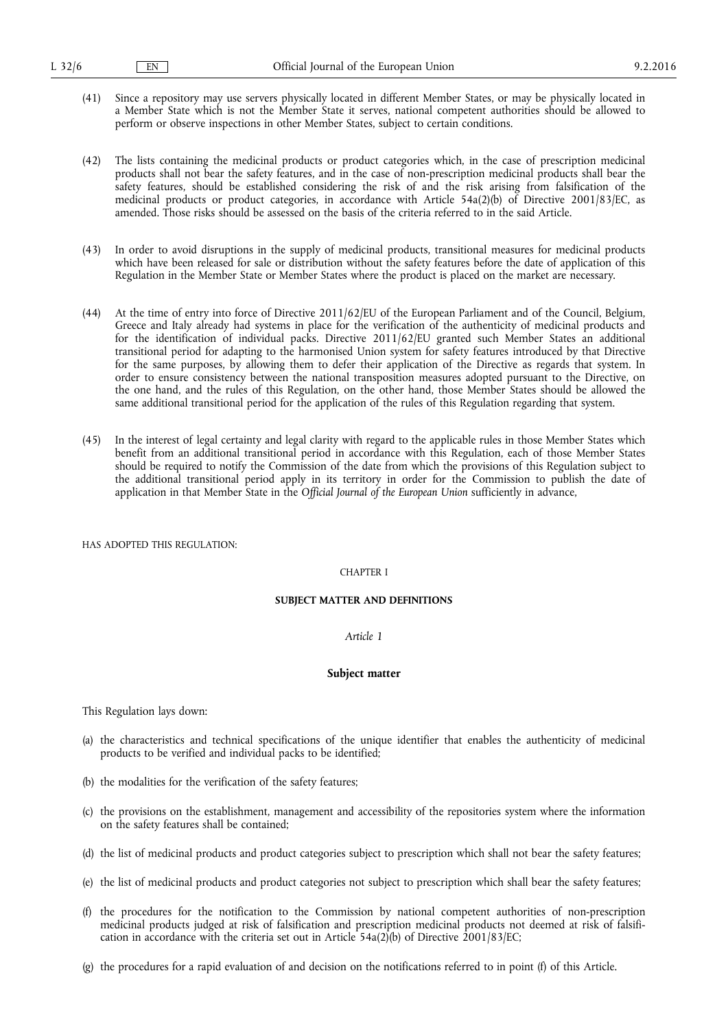- (41) Since a repository may use servers physically located in different Member States, or may be physically located in a Member State which is not the Member State it serves, national competent authorities should be allowed to perform or observe inspections in other Member States, subject to certain conditions.
- (42) The lists containing the medicinal products or product categories which, in the case of prescription medicinal products shall not bear the safety features, and in the case of non-prescription medicinal products shall bear the safety features, should be established considering the risk of and the risk arising from falsification of the medicinal products or product categories, in accordance with Article 54a(2)(b) of Directive 2001/83/EC, as amended. Those risks should be assessed on the basis of the criteria referred to in the said Article.
- (43) In order to avoid disruptions in the supply of medicinal products, transitional measures for medicinal products which have been released for sale or distribution without the safety features before the date of application of this Regulation in the Member State or Member States where the product is placed on the market are necessary.
- (44) At the time of entry into force of Directive 2011/62/EU of the European Parliament and of the Council, Belgium, Greece and Italy already had systems in place for the verification of the authenticity of medicinal products and for the identification of individual packs. Directive 2011/62/EU granted such Member States an additional transitional period for adapting to the harmonised Union system for safety features introduced by that Directive for the same purposes, by allowing them to defer their application of the Directive as regards that system. In order to ensure consistency between the national transposition measures adopted pursuant to the Directive, on the one hand, and the rules of this Regulation, on the other hand, those Member States should be allowed the same additional transitional period for the application of the rules of this Regulation regarding that system.
- (45) In the interest of legal certainty and legal clarity with regard to the applicable rules in those Member States which benefit from an additional transitional period in accordance with this Regulation, each of those Member States should be required to notify the Commission of the date from which the provisions of this Regulation subject to the additional transitional period apply in its territory in order for the Commission to publish the date of application in that Member State in the *Official Journal of the European Union* sufficiently in advance,

HAS ADOPTED THIS REGULATION:

### CHAPTER I

### **SUBJECT MATTER AND DEFINITIONS**

## *Article 1*

### **Subject matter**

This Regulation lays down:

- (a) the characteristics and technical specifications of the unique identifier that enables the authenticity of medicinal products to be verified and individual packs to be identified;
- (b) the modalities for the verification of the safety features;
- (c) the provisions on the establishment, management and accessibility of the repositories system where the information on the safety features shall be contained;
- (d) the list of medicinal products and product categories subject to prescription which shall not bear the safety features;
- (e) the list of medicinal products and product categories not subject to prescription which shall bear the safety features;
- (f) the procedures for the notification to the Commission by national competent authorities of non-prescription medicinal products judged at risk of falsification and prescription medicinal products not deemed at risk of falsification in accordance with the criteria set out in Article 54a(2)(b) of Directive 2001/83/EC;
- (g) the procedures for a rapid evaluation of and decision on the notifications referred to in point (f) of this Article.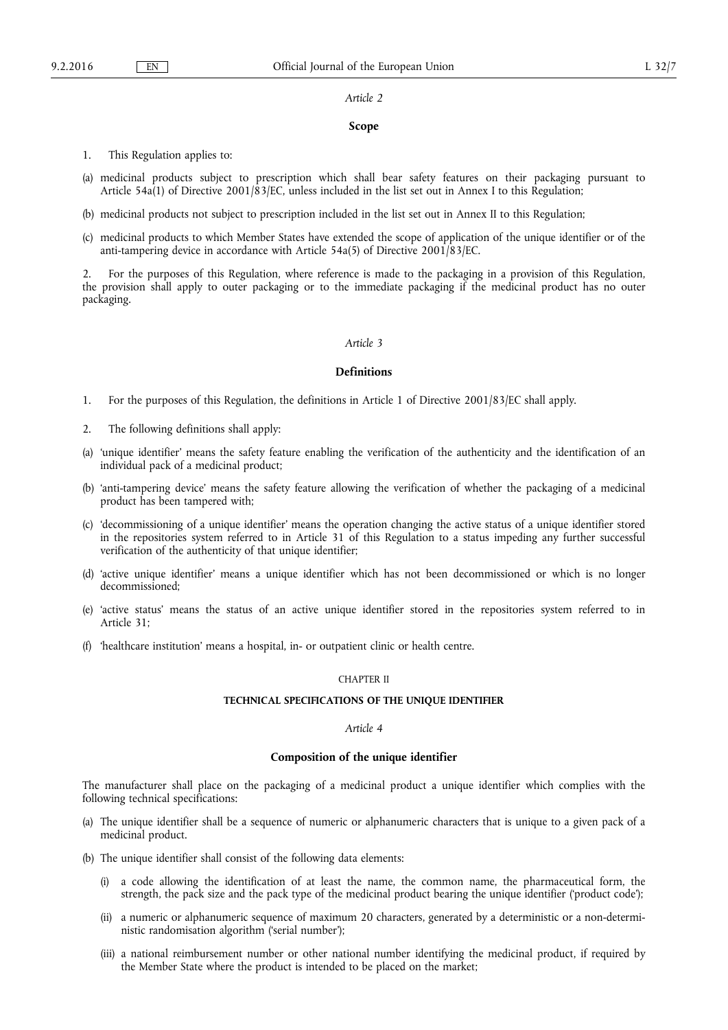### **Scope**

- 1. This Regulation applies to:
- (a) medicinal products subject to prescription which shall bear safety features on their packaging pursuant to Article 54a(1) of Directive 2001/83/EC, unless included in the list set out in Annex I to this Regulation;
- (b) medicinal products not subject to prescription included in the list set out in Annex II to this Regulation;
- (c) medicinal products to which Member States have extended the scope of application of the unique identifier or of the anti-tampering device in accordance with Article 54a(5) of Directive 2001/83/EC.

2. For the purposes of this Regulation, where reference is made to the packaging in a provision of this Regulation, the provision shall apply to outer packaging or to the immediate packaging if the medicinal product has no outer packaging.

### *Article 3*

### **Definitions**

- 1. For the purposes of this Regulation, the definitions in Article 1 of Directive 2001/83/EC shall apply.
- 2. The following definitions shall apply:
- (a) 'unique identifier' means the safety feature enabling the verification of the authenticity and the identification of an individual pack of a medicinal product;
- (b) 'anti-tampering device' means the safety feature allowing the verification of whether the packaging of a medicinal product has been tampered with;
- (c) 'decommissioning of a unique identifier' means the operation changing the active status of a unique identifier stored in the repositories system referred to in Article 31 of this Regulation to a status impeding any further successful verification of the authenticity of that unique identifier;
- (d) 'active unique identifier' means a unique identifier which has not been decommissioned or which is no longer decommissioned;
- (e) 'active status' means the status of an active unique identifier stored in the repositories system referred to in Article 31;
- (f) 'healthcare institution' means a hospital, in- or outpatient clinic or health centre.

### CHAPTER II

### **TECHNICAL SPECIFICATIONS OF THE UNIQUE IDENTIFIER**

### *Article 4*

#### **Composition of the unique identifier**

The manufacturer shall place on the packaging of a medicinal product a unique identifier which complies with the following technical specifications:

- (a) The unique identifier shall be a sequence of numeric or alphanumeric characters that is unique to a given pack of a medicinal product.
- (b) The unique identifier shall consist of the following data elements:
	- (i) a code allowing the identification of at least the name, the common name, the pharmaceutical form, the strength, the pack size and the pack type of the medicinal product bearing the unique identifier ('product code');
	- (ii) a numeric or alphanumeric sequence of maximum 20 characters, generated by a deterministic or a non-deterministic randomisation algorithm ('serial number');
	- (iii) a national reimbursement number or other national number identifying the medicinal product, if required by the Member State where the product is intended to be placed on the market;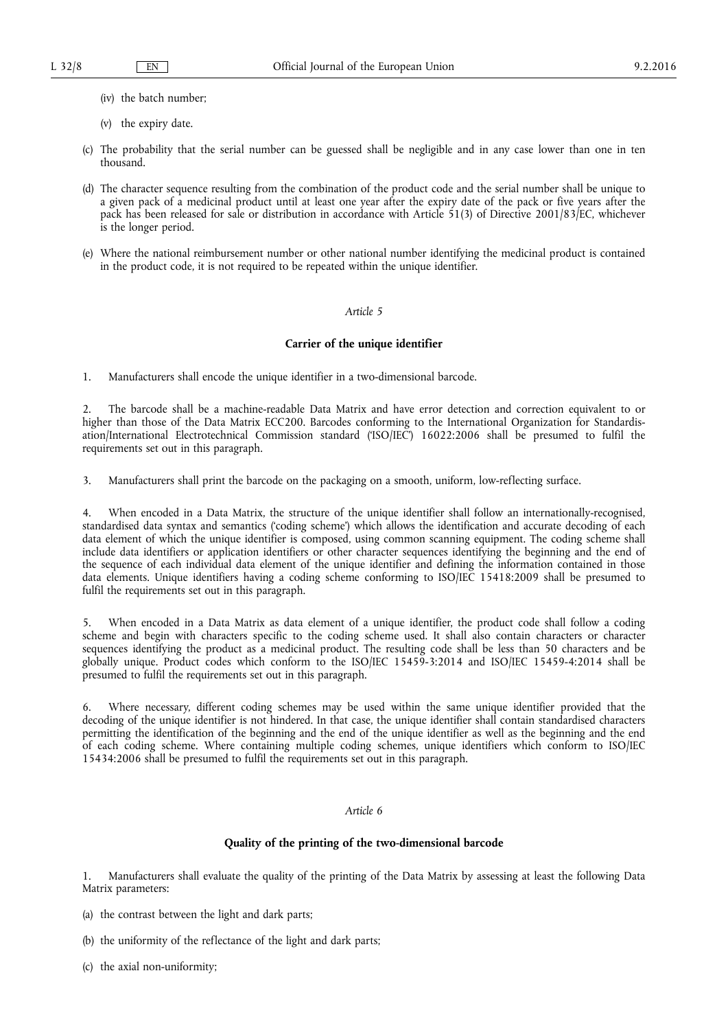(iv) the batch number;

- (v) the expiry date.
- (c) The probability that the serial number can be guessed shall be negligible and in any case lower than one in ten thousand.
- (d) The character sequence resulting from the combination of the product code and the serial number shall be unique to a given pack of a medicinal product until at least one year after the expiry date of the pack or five years after the pack has been released for sale or distribution in accordance with Article 51(3) of Directive 2001/83/EC, whichever is the longer period.
- (e) Where the national reimbursement number or other national number identifying the medicinal product is contained in the product code, it is not required to be repeated within the unique identifier.

#### *Article 5*

#### **Carrier of the unique identifier**

1. Manufacturers shall encode the unique identifier in a two-dimensional barcode.

2. The barcode shall be a machine-readable Data Matrix and have error detection and correction equivalent to or higher than those of the Data Matrix ECC200. Barcodes conforming to the International Organization for Standardisation/International Electrotechnical Commission standard ('ISO/IEC') 16022:2006 shall be presumed to fulfil the requirements set out in this paragraph.

3. Manufacturers shall print the barcode on the packaging on a smooth, uniform, low-reflecting surface.

4. When encoded in a Data Matrix, the structure of the unique identifier shall follow an internationally-recognised, standardised data syntax and semantics ('coding scheme') which allows the identification and accurate decoding of each data element of which the unique identifier is composed, using common scanning equipment. The coding scheme shall include data identifiers or application identifiers or other character sequences identifying the beginning and the end of the sequence of each individual data element of the unique identifier and defining the information contained in those data elements. Unique identifiers having a coding scheme conforming to ISO/IEC 15418:2009 shall be presumed to fulfil the requirements set out in this paragraph.

5. When encoded in a Data Matrix as data element of a unique identifier, the product code shall follow a coding scheme and begin with characters specific to the coding scheme used. It shall also contain characters or character sequences identifying the product as a medicinal product. The resulting code shall be less than 50 characters and be globally unique. Product codes which conform to the ISO/IEC 15459-3:2014 and ISO/IEC 15459-4:2014 shall be presumed to fulfil the requirements set out in this paragraph.

6. Where necessary, different coding schemes may be used within the same unique identifier provided that the decoding of the unique identifier is not hindered. In that case, the unique identifier shall contain standardised characters permitting the identification of the beginning and the end of the unique identifier as well as the beginning and the end of each coding scheme. Where containing multiple coding schemes, unique identifiers which conform to ISO/IEC 15434:2006 shall be presumed to fulfil the requirements set out in this paragraph.

### *Article 6*

#### **Quality of the printing of the two-dimensional barcode**

1. Manufacturers shall evaluate the quality of the printing of the Data Matrix by assessing at least the following Data Matrix parameters:

- (a) the contrast between the light and dark parts;
- (b) the uniformity of the reflectance of the light and dark parts;
- (c) the axial non-uniformity;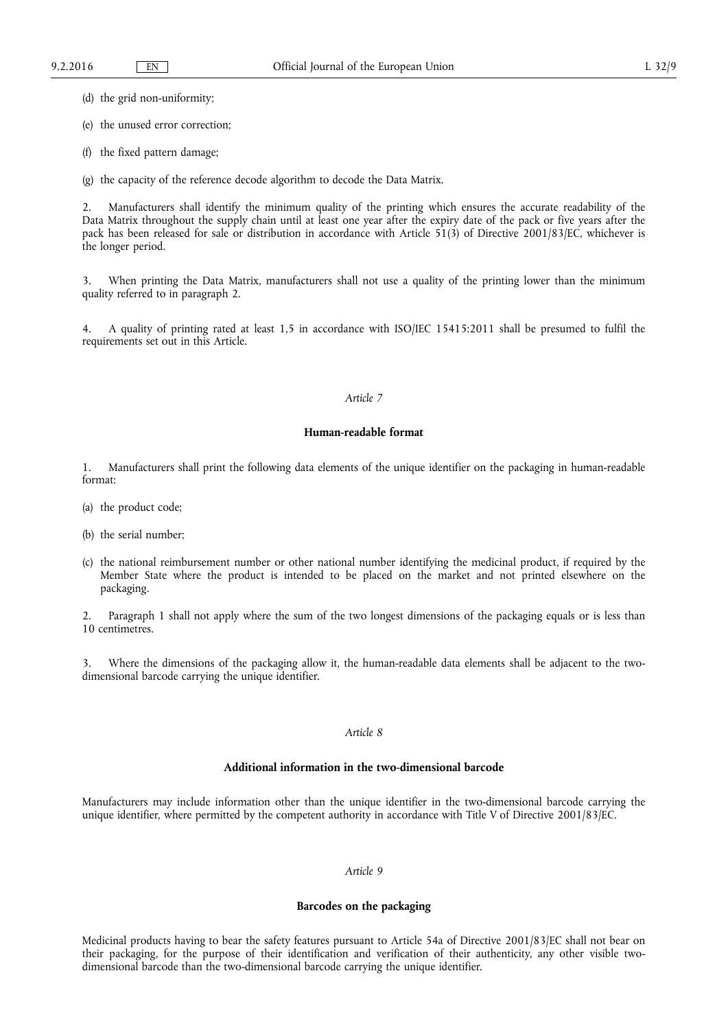(d) the grid non-uniformity;

- (e) the unused error correction;
- (f) the fixed pattern damage;

(g) the capacity of the reference decode algorithm to decode the Data Matrix.

2. Manufacturers shall identify the minimum quality of the printing which ensures the accurate readability of the Data Matrix throughout the supply chain until at least one year after the expiry date of the pack or five years after the pack has been released for sale or distribution in accordance with Article 51(3) of Directive 2001/83/EC, whichever is the longer period.

3. When printing the Data Matrix, manufacturers shall not use a quality of the printing lower than the minimum quality referred to in paragraph 2.

4. A quality of printing rated at least 1,5 in accordance with ISO/IEC 15415:2011 shall be presumed to fulfil the requirements set out in this Article.

### *Article 7*

#### **Human-readable format**

1. Manufacturers shall print the following data elements of the unique identifier on the packaging in human-readable format:

- (a) the product code;
- (b) the serial number;
- (c) the national reimbursement number or other national number identifying the medicinal product, if required by the Member State where the product is intended to be placed on the market and not printed elsewhere on the packaging.

Paragraph 1 shall not apply where the sum of the two longest dimensions of the packaging equals or is less than 10 centimetres.

Where the dimensions of the packaging allow it, the human-readable data elements shall be adjacent to the twodimensional barcode carrying the unique identifier.

### *Article 8*

### **Additional information in the two-dimensional barcode**

Manufacturers may include information other than the unique identifier in the two-dimensional barcode carrying the unique identifier, where permitted by the competent authority in accordance with Title V of Directive 2001/83/EC.

#### *Article 9*

#### **Barcodes on the packaging**

Medicinal products having to bear the safety features pursuant to Article 54a of Directive 2001/83/EC shall not bear on their packaging, for the purpose of their identification and verification of their authenticity, any other visible twodimensional barcode than the two-dimensional barcode carrying the unique identifier.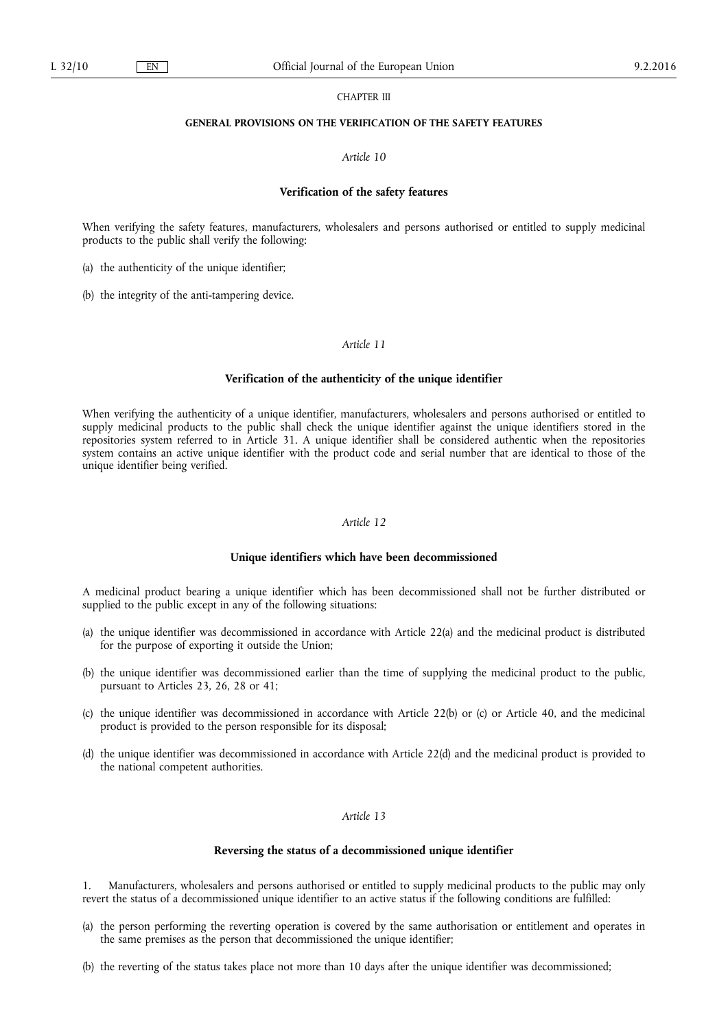### CHAPTER III

#### **GENERAL PROVISIONS ON THE VERIFICATION OF THE SAFETY FEATURES**

### *Article 10*

### **Verification of the safety features**

When verifying the safety features, manufacturers, wholesalers and persons authorised or entitled to supply medicinal products to the public shall verify the following:

(a) the authenticity of the unique identifier;

(b) the integrity of the anti-tampering device.

### *Article 11*

#### **Verification of the authenticity of the unique identifier**

When verifying the authenticity of a unique identifier, manufacturers, wholesalers and persons authorised or entitled to supply medicinal products to the public shall check the unique identifier against the unique identifiers stored in the repositories system referred to in Article 31. A unique identifier shall be considered authentic when the repositories system contains an active unique identifier with the product code and serial number that are identical to those of the unique identifier being verified.

### *Article 12*

#### **Unique identifiers which have been decommissioned**

A medicinal product bearing a unique identifier which has been decommissioned shall not be further distributed or supplied to the public except in any of the following situations:

- (a) the unique identifier was decommissioned in accordance with Article 22(a) and the medicinal product is distributed for the purpose of exporting it outside the Union;
- (b) the unique identifier was decommissioned earlier than the time of supplying the medicinal product to the public, pursuant to Articles 23, 26, 28 or 41;
- (c) the unique identifier was decommissioned in accordance with Article 22(b) or (c) or Article 40, and the medicinal product is provided to the person responsible for its disposal;
- (d) the unique identifier was decommissioned in accordance with Article 22(d) and the medicinal product is provided to the national competent authorities.

### *Article 13*

### **Reversing the status of a decommissioned unique identifier**

1. Manufacturers, wholesalers and persons authorised or entitled to supply medicinal products to the public may only revert the status of a decommissioned unique identifier to an active status if the following conditions are fulfilled:

- (a) the person performing the reverting operation is covered by the same authorisation or entitlement and operates in the same premises as the person that decommissioned the unique identifier;
- (b) the reverting of the status takes place not more than 10 days after the unique identifier was decommissioned;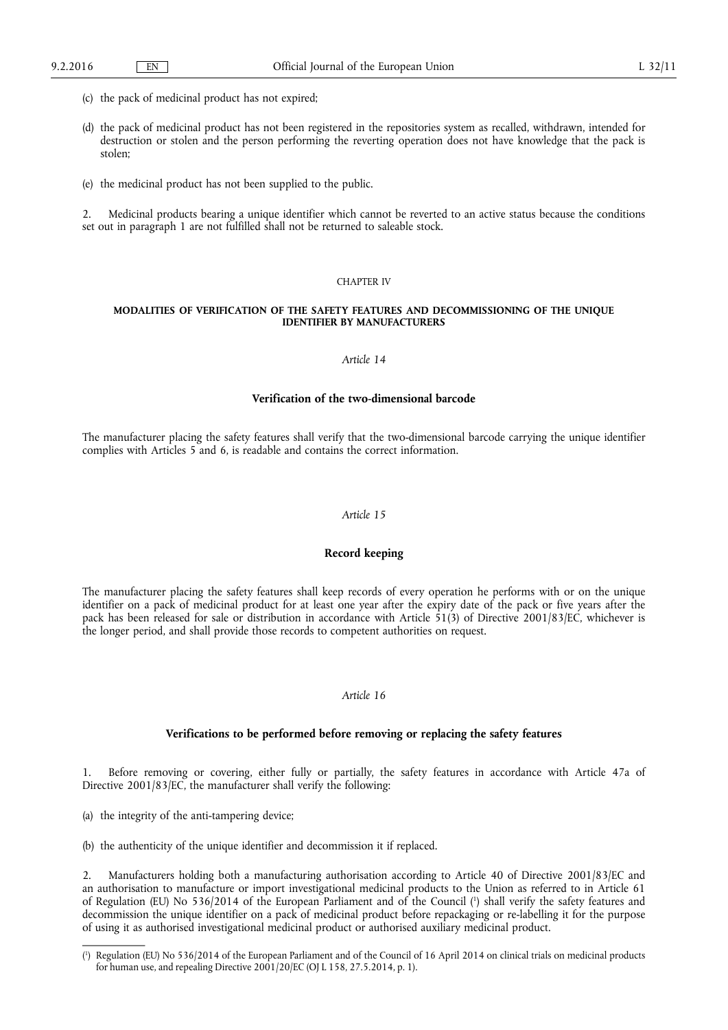- (c) the pack of medicinal product has not expired;
- (d) the pack of medicinal product has not been registered in the repositories system as recalled, withdrawn, intended for destruction or stolen and the person performing the reverting operation does not have knowledge that the pack is stolen;
- (e) the medicinal product has not been supplied to the public.

2. Medicinal products bearing a unique identifier which cannot be reverted to an active status because the conditions set out in paragraph 1 are not fulfilled shall not be returned to saleable stock.

### CHAPTER IV

### **MODALITIES OF VERIFICATION OF THE SAFETY FEATURES AND DECOMMISSIONING OF THE UNIQUE IDENTIFIER BY MANUFACTURERS**

### *Article 14*

### **Verification of the two-dimensional barcode**

The manufacturer placing the safety features shall verify that the two-dimensional barcode carrying the unique identifier complies with Articles 5 and 6, is readable and contains the correct information.

#### *Article 15*

### **Record keeping**

The manufacturer placing the safety features shall keep records of every operation he performs with or on the unique identifier on a pack of medicinal product for at least one year after the expiry date of the pack or five years after the pack has been released for sale or distribution in accordance with Article 51(3) of Directive 2001/83/EC, whichever is the longer period, and shall provide those records to competent authorities on request.

### *Article 16*

#### **Verifications to be performed before removing or replacing the safety features**

1. Before removing or covering, either fully or partially, the safety features in accordance with Article 47a of Directive 2001/83/EC, the manufacturer shall verify the following:

- (a) the integrity of the anti-tampering device;
- (b) the authenticity of the unique identifier and decommission it if replaced.

2. Manufacturers holding both a manufacturing authorisation according to Article 40 of Directive 2001/83/EC and an authorisation to manufacture or import investigational medicinal products to the Union as referred to in Article 61 of Regulation (EU) No 536/2014 of the European Parliament and of the Council ( 1 ) shall verify the safety features and decommission the unique identifier on a pack of medicinal product before repackaging or re-labelling it for the purpose of using it as authorised investigational medicinal product or authorised auxiliary medicinal product.

<sup>(</sup> 1 ) Regulation (EU) No 536/2014 of the European Parliament and of the Council of 16 April 2014 on clinical trials on medicinal products for human use, and repealing Directive 2001/20/EC (OJ L 158, 27.5.2014, p. 1).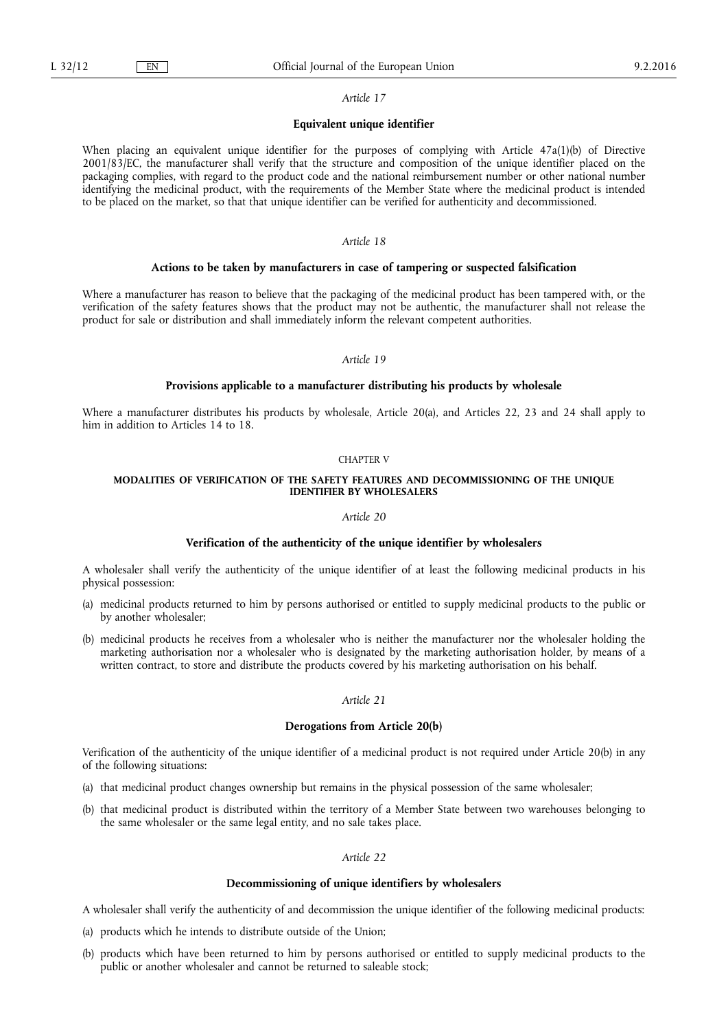### **Equivalent unique identifier**

When placing an equivalent unique identifier for the purposes of complying with Article 47a(1)(b) of Directive 2001/83/EC, the manufacturer shall verify that the structure and composition of the unique identifier placed on the packaging complies, with regard to the product code and the national reimbursement number or other national number identifying the medicinal product, with the requirements of the Member State where the medicinal product is intended to be placed on the market, so that that unique identifier can be verified for authenticity and decommissioned.

### *Article 18*

#### **Actions to be taken by manufacturers in case of tampering or suspected falsification**

Where a manufacturer has reason to believe that the packaging of the medicinal product has been tampered with, or the verification of the safety features shows that the product may not be authentic, the manufacturer shall not release the product for sale or distribution and shall immediately inform the relevant competent authorities.

#### *Article 19*

### **Provisions applicable to a manufacturer distributing his products by wholesale**

Where a manufacturer distributes his products by wholesale, Article 20(a), and Articles 22, 23 and 24 shall apply to him in addition to Articles 14 to 18.

#### CHAPTER V

### **MODALITIES OF VERIFICATION OF THE SAFETY FEATURES AND DECOMMISSIONING OF THE UNIQUE IDENTIFIER BY WHOLESALERS**

### *Article 20*

# **Verification of the authenticity of the unique identifier by wholesalers**

A wholesaler shall verify the authenticity of the unique identifier of at least the following medicinal products in his physical possession:

- (a) medicinal products returned to him by persons authorised or entitled to supply medicinal products to the public or by another wholesaler;
- (b) medicinal products he receives from a wholesaler who is neither the manufacturer nor the wholesaler holding the marketing authorisation nor a wholesaler who is designated by the marketing authorisation holder, by means of a written contract, to store and distribute the products covered by his marketing authorisation on his behalf.

### *Article 21*

#### **Derogations from Article 20(b)**

Verification of the authenticity of the unique identifier of a medicinal product is not required under Article 20(b) in any of the following situations:

- (a) that medicinal product changes ownership but remains in the physical possession of the same wholesaler;
- (b) that medicinal product is distributed within the territory of a Member State between two warehouses belonging to the same wholesaler or the same legal entity, and no sale takes place.

### *Article 22*

#### **Decommissioning of unique identifiers by wholesalers**

A wholesaler shall verify the authenticity of and decommission the unique identifier of the following medicinal products:

- (a) products which he intends to distribute outside of the Union;
- (b) products which have been returned to him by persons authorised or entitled to supply medicinal products to the public or another wholesaler and cannot be returned to saleable stock;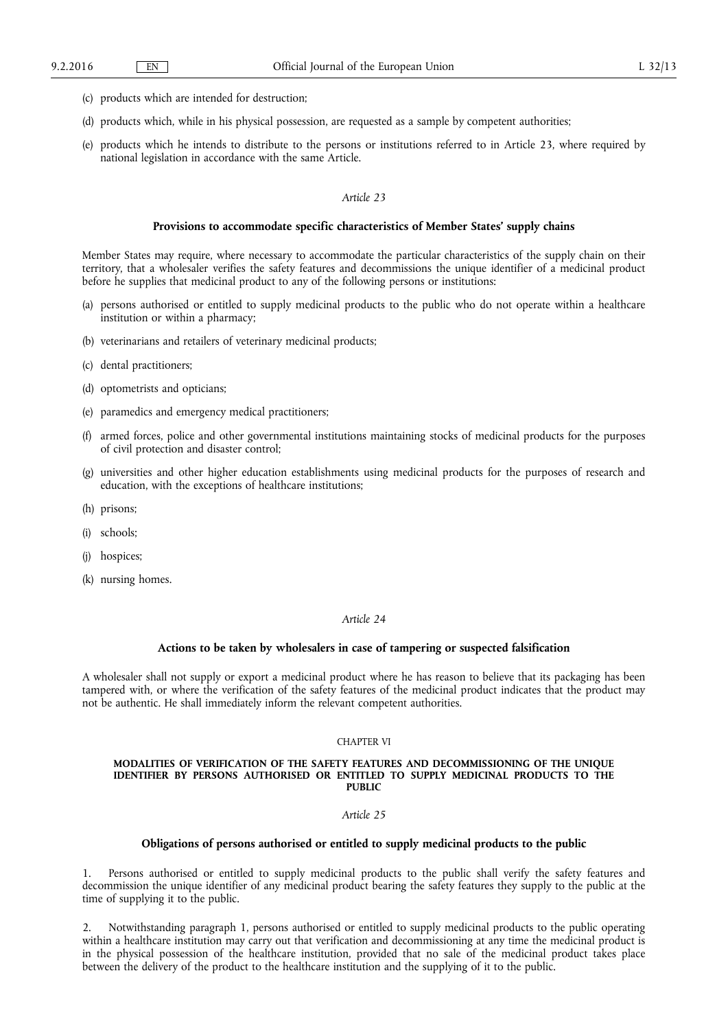- (c) products which are intended for destruction;
- (d) products which, while in his physical possession, are requested as a sample by competent authorities;
- (e) products which he intends to distribute to the persons or institutions referred to in Article 23, where required by national legislation in accordance with the same Article.

#### **Provisions to accommodate specific characteristics of Member States' supply chains**

Member States may require, where necessary to accommodate the particular characteristics of the supply chain on their territory, that a wholesaler verifies the safety features and decommissions the unique identifier of a medicinal product before he supplies that medicinal product to any of the following persons or institutions:

- (a) persons authorised or entitled to supply medicinal products to the public who do not operate within a healthcare institution or within a pharmacy;
- (b) veterinarians and retailers of veterinary medicinal products;
- (c) dental practitioners;
- (d) optometrists and opticians;
- (e) paramedics and emergency medical practitioners;
- (f) armed forces, police and other governmental institutions maintaining stocks of medicinal products for the purposes of civil protection and disaster control;
- (g) universities and other higher education establishments using medicinal products for the purposes of research and education, with the exceptions of healthcare institutions;
- (h) prisons;
- (i) schools;
- (j) hospices;
- (k) nursing homes.

#### *Article 24*

#### **Actions to be taken by wholesalers in case of tampering or suspected falsification**

A wholesaler shall not supply or export a medicinal product where he has reason to believe that its packaging has been tampered with, or where the verification of the safety features of the medicinal product indicates that the product may not be authentic. He shall immediately inform the relevant competent authorities.

### CHAPTER VI

#### **MODALITIES OF VERIFICATION OF THE SAFETY FEATURES AND DECOMMISSIONING OF THE UNIQUE IDENTIFIER BY PERSONS AUTHORISED OR ENTITLED TO SUPPLY MEDICINAL PRODUCTS TO THE PUBLIC**

#### *Article 25*

### **Obligations of persons authorised or entitled to supply medicinal products to the public**

1. Persons authorised or entitled to supply medicinal products to the public shall verify the safety features and decommission the unique identifier of any medicinal product bearing the safety features they supply to the public at the time of supplying it to the public.

2. Notwithstanding paragraph 1, persons authorised or entitled to supply medicinal products to the public operating within a healthcare institution may carry out that verification and decommissioning at any time the medicinal product is in the physical possession of the healthcare institution, provided that no sale of the medicinal product takes place between the delivery of the product to the healthcare institution and the supplying of it to the public.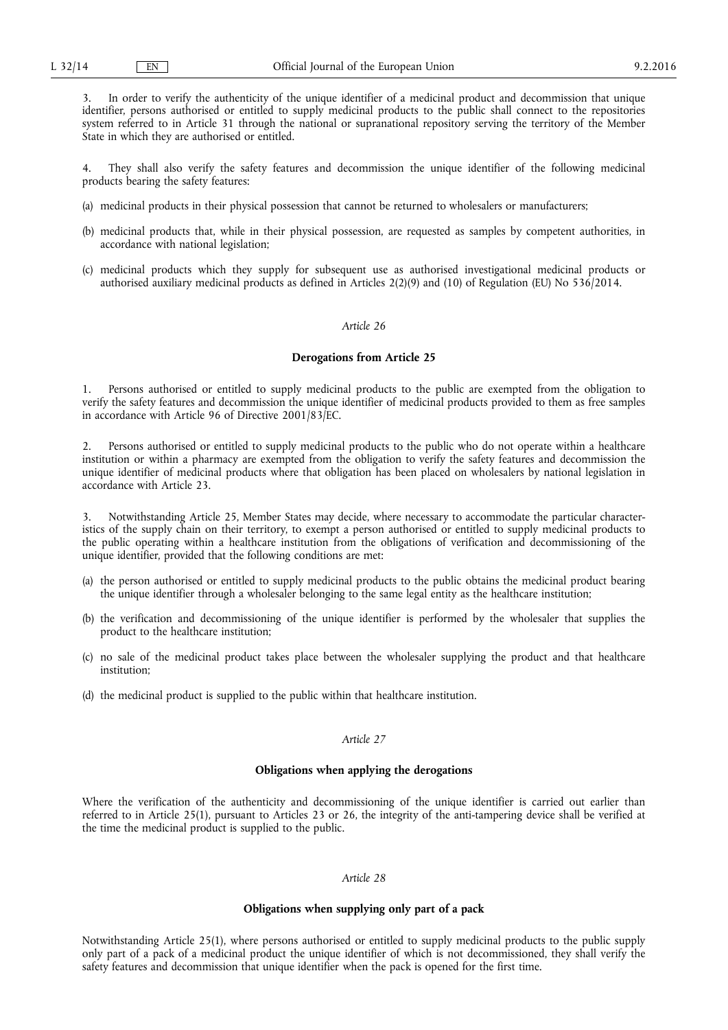3. In order to verify the authenticity of the unique identifier of a medicinal product and decommission that unique identifier, persons authorised or entitled to supply medicinal products to the public shall connect to the repositories system referred to in Article 31 through the national or supranational repository serving the territory of the Member State in which they are authorised or entitled.

They shall also verify the safety features and decommission the unique identifier of the following medicinal products bearing the safety features:

- (a) medicinal products in their physical possession that cannot be returned to wholesalers or manufacturers;
- (b) medicinal products that, while in their physical possession, are requested as samples by competent authorities, in accordance with national legislation;
- (c) medicinal products which they supply for subsequent use as authorised investigational medicinal products or authorised auxiliary medicinal products as defined in Articles 2(2)(9) and (10) of Regulation (EU) No 536/2014.

#### *Article 26*

#### **Derogations from Article 25**

1. Persons authorised or entitled to supply medicinal products to the public are exempted from the obligation to verify the safety features and decommission the unique identifier of medicinal products provided to them as free samples in accordance with Article 96 of Directive 2001/83/EC.

2. Persons authorised or entitled to supply medicinal products to the public who do not operate within a healthcare institution or within a pharmacy are exempted from the obligation to verify the safety features and decommission the unique identifier of medicinal products where that obligation has been placed on wholesalers by national legislation in accordance with Article 23.

3. Notwithstanding Article 25, Member States may decide, where necessary to accommodate the particular characteristics of the supply chain on their territory, to exempt a person authorised or entitled to supply medicinal products to the public operating within a healthcare institution from the obligations of verification and decommissioning of the unique identifier, provided that the following conditions are met:

- (a) the person authorised or entitled to supply medicinal products to the public obtains the medicinal product bearing the unique identifier through a wholesaler belonging to the same legal entity as the healthcare institution;
- (b) the verification and decommissioning of the unique identifier is performed by the wholesaler that supplies the product to the healthcare institution;
- (c) no sale of the medicinal product takes place between the wholesaler supplying the product and that healthcare institution;
- (d) the medicinal product is supplied to the public within that healthcare institution.

### *Article 27*

### **Obligations when applying the derogations**

Where the verification of the authenticity and decommissioning of the unique identifier is carried out earlier than referred to in Article 25(1), pursuant to Articles 23 or 26, the integrity of the anti-tampering device shall be verified at the time the medicinal product is supplied to the public.

#### *Article 28*

#### **Obligations when supplying only part of a pack**

Notwithstanding Article 25(1), where persons authorised or entitled to supply medicinal products to the public supply only part of a pack of a medicinal product the unique identifier of which is not decommissioned, they shall verify the safety features and decommission that unique identifier when the pack is opened for the first time.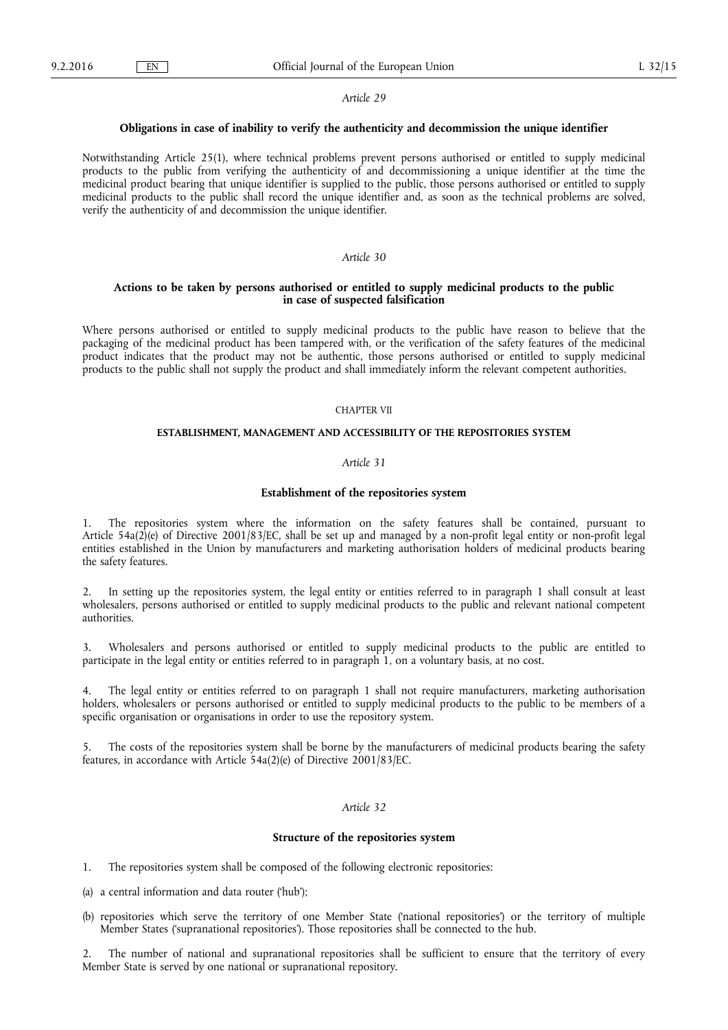### **Obligations in case of inability to verify the authenticity and decommission the unique identifier**

Notwithstanding Article 25(1), where technical problems prevent persons authorised or entitled to supply medicinal products to the public from verifying the authenticity of and decommissioning a unique identifier at the time the medicinal product bearing that unique identifier is supplied to the public, those persons authorised or entitled to supply medicinal products to the public shall record the unique identifier and, as soon as the technical problems are solved, verify the authenticity of and decommission the unique identifier.

### *Article 30*

### **Actions to be taken by persons authorised or entitled to supply medicinal products to the public in case of suspected falsification**

Where persons authorised or entitled to supply medicinal products to the public have reason to believe that the packaging of the medicinal product has been tampered with, or the verification of the safety features of the medicinal product indicates that the product may not be authentic, those persons authorised or entitled to supply medicinal products to the public shall not supply the product and shall immediately inform the relevant competent authorities.

### CHAPTER VII

### **ESTABLISHMENT, MANAGEMENT AND ACCESSIBILITY OF THE REPOSITORIES SYSTEM**

### *Article 31*

### **Establishment of the repositories system**

1. The repositories system where the information on the safety features shall be contained, pursuant to Article 54a(2)(e) of Directive 2001/83/EC, shall be set up and managed by a non-profit legal entity or non-profit legal entities established in the Union by manufacturers and marketing authorisation holders of medicinal products bearing the safety features.

2. In setting up the repositories system, the legal entity or entities referred to in paragraph 1 shall consult at least wholesalers, persons authorised or entitled to supply medicinal products to the public and relevant national competent authorities.

3. Wholesalers and persons authorised or entitled to supply medicinal products to the public are entitled to participate in the legal entity or entities referred to in paragraph 1, on a voluntary basis, at no cost.

4. The legal entity or entities referred to on paragraph 1 shall not require manufacturers, marketing authorisation holders, wholesalers or persons authorised or entitled to supply medicinal products to the public to be members of a specific organisation or organisations in order to use the repository system.

The costs of the repositories system shall be borne by the manufacturers of medicinal products bearing the safety features, in accordance with Article 54a(2)(e) of Directive 2001/83/EC.

### *Article 32*

### **Structure of the repositories system**

- 1. The repositories system shall be composed of the following electronic repositories:
- (a) a central information and data router ('hub');
- (b) repositories which serve the territory of one Member State ('national repositories') or the territory of multiple Member States ('supranational repositories'). Those repositories shall be connected to the hub.

2. The number of national and supranational repositories shall be sufficient to ensure that the territory of every Member State is served by one national or supranational repository.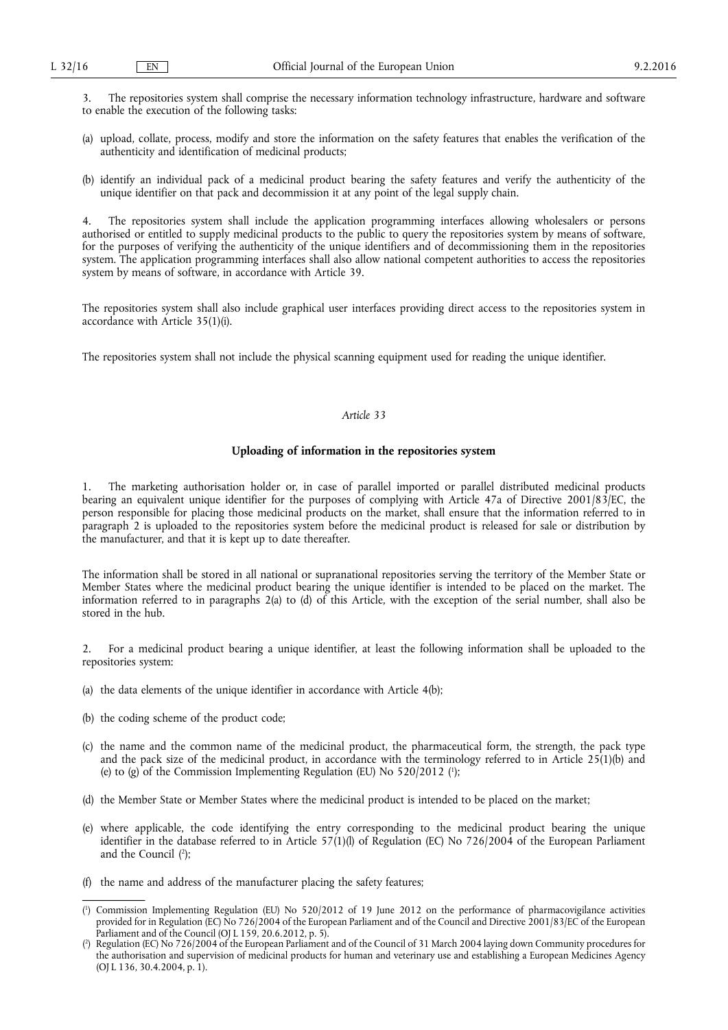3. The repositories system shall comprise the necessary information technology infrastructure, hardware and software to enable the execution of the following tasks:

- (a) upload, collate, process, modify and store the information on the safety features that enables the verification of the authenticity and identification of medicinal products;
- (b) identify an individual pack of a medicinal product bearing the safety features and verify the authenticity of the unique identifier on that pack and decommission it at any point of the legal supply chain.

4. The repositories system shall include the application programming interfaces allowing wholesalers or persons authorised or entitled to supply medicinal products to the public to query the repositories system by means of software, for the purposes of verifying the authenticity of the unique identifiers and of decommissioning them in the repositories system. The application programming interfaces shall also allow national competent authorities to access the repositories system by means of software, in accordance with Article 39.

The repositories system shall also include graphical user interfaces providing direct access to the repositories system in accordance with Article 35(1)(i).

The repositories system shall not include the physical scanning equipment used for reading the unique identifier.

### *Article 33*

### **Uploading of information in the repositories system**

The marketing authorisation holder or, in case of parallel imported or parallel distributed medicinal products bearing an equivalent unique identifier for the purposes of complying with Article 47a of Directive 2001/83/EC, the person responsible for placing those medicinal products on the market, shall ensure that the information referred to in paragraph 2 is uploaded to the repositories system before the medicinal product is released for sale or distribution by the manufacturer, and that it is kept up to date thereafter.

The information shall be stored in all national or supranational repositories serving the territory of the Member State or Member States where the medicinal product bearing the unique identifier is intended to be placed on the market. The information referred to in paragraphs 2(a) to (d) of this Article, with the exception of the serial number, shall also be stored in the hub.

2. For a medicinal product bearing a unique identifier, at least the following information shall be uploaded to the repositories system:

- (a) the data elements of the unique identifier in accordance with Article 4(b);
- (b) the coding scheme of the product code;
- (c) the name and the common name of the medicinal product, the pharmaceutical form, the strength, the pack type and the pack size of the medicinal product, in accordance with the terminology referred to in Article  $25(1)(b)$  and (e) to (g) of the Commission Implementing Regulation (EU) No 520/2012 ( 1 );
- (d) the Member State or Member States where the medicinal product is intended to be placed on the market;
- (e) where applicable, the code identifying the entry corresponding to the medicinal product bearing the unique identifier in the database referred to in Article 57(1)(l) of Regulation (EC) No 726/2004 of the European Parliament and the Council ( 2 );
- (f) the name and address of the manufacturer placing the safety features;

<sup>(</sup> 1 ) Commission Implementing Regulation (EU) No 520/2012 of 19 June 2012 on the performance of pharmacovigilance activities provided for in Regulation (EC) No 726/2004 of the European Parliament and of the Council and Directive 2001/83/EC of the European Parliament and of the Council (OJ L 159, 20.6.2012, p. 5).

<sup>(</sup> 2 ) Regulation (EC) No 726/2004 of the European Parliament and of the Council of 31 March 2004 laying down Community procedures for the authorisation and supervision of medicinal products for human and veterinary use and establishing a European Medicines Agency (OJ L 136, 30.4.2004, p. 1).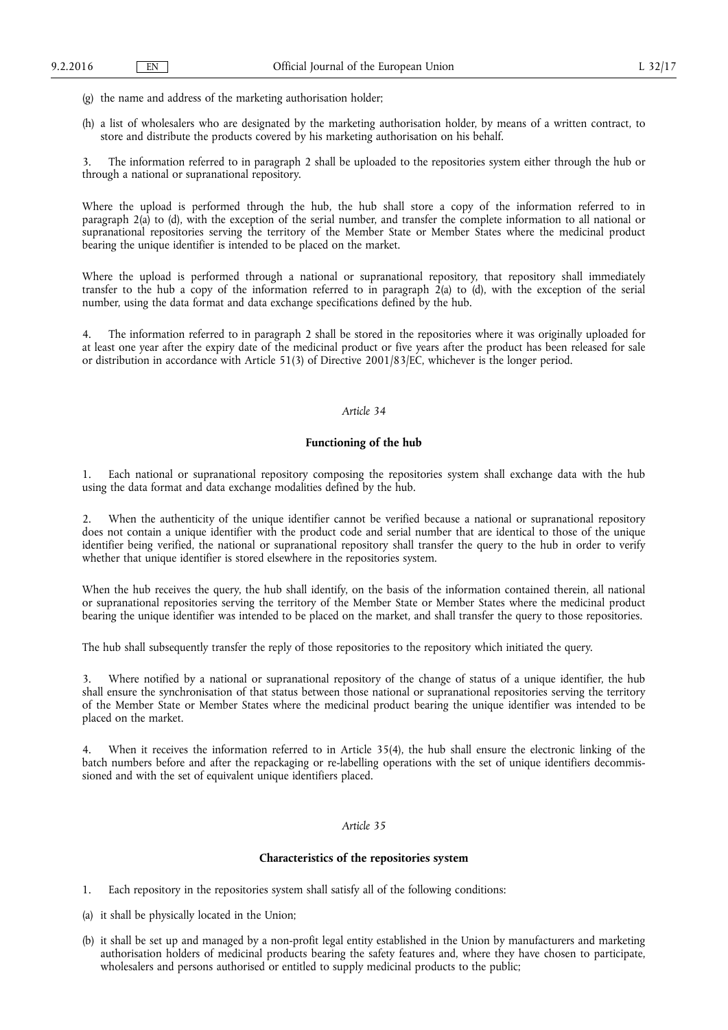- (g) the name and address of the marketing authorisation holder;
- (h) a list of wholesalers who are designated by the marketing authorisation holder, by means of a written contract, to store and distribute the products covered by his marketing authorisation on his behalf.

3. The information referred to in paragraph 2 shall be uploaded to the repositories system either through the hub or through a national or supranational repository.

Where the upload is performed through the hub, the hub shall store a copy of the information referred to in paragraph 2(a) to (d), with the exception of the serial number, and transfer the complete information to all national or supranational repositories serving the territory of the Member State or Member States where the medicinal product bearing the unique identifier is intended to be placed on the market.

Where the upload is performed through a national or supranational repository, that repository shall immediately transfer to the hub a copy of the information referred to in paragraph  $2(a)$  to (d), with the exception of the serial number, using the data format and data exchange specifications defined by the hub.

4. The information referred to in paragraph 2 shall be stored in the repositories where it was originally uploaded for at least one year after the expiry date of the medicinal product or five years after the product has been released for sale or distribution in accordance with Article 51(3) of Directive 2001/83/EC, whichever is the longer period.

### *Article 34*

#### **Functioning of the hub**

1. Each national or supranational repository composing the repositories system shall exchange data with the hub using the data format and data exchange modalities defined by the hub.

When the authenticity of the unique identifier cannot be verified because a national or supranational repository does not contain a unique identifier with the product code and serial number that are identical to those of the unique identifier being verified, the national or supranational repository shall transfer the query to the hub in order to verify whether that unique identifier is stored elsewhere in the repositories system.

When the hub receives the query, the hub shall identify, on the basis of the information contained therein, all national or supranational repositories serving the territory of the Member State or Member States where the medicinal product bearing the unique identifier was intended to be placed on the market, and shall transfer the query to those repositories.

The hub shall subsequently transfer the reply of those repositories to the repository which initiated the query.

3. Where notified by a national or supranational repository of the change of status of a unique identifier, the hub shall ensure the synchronisation of that status between those national or supranational repositories serving the territory of the Member State or Member States where the medicinal product bearing the unique identifier was intended to be placed on the market.

4. When it receives the information referred to in Article 35(4), the hub shall ensure the electronic linking of the batch numbers before and after the repackaging or re-labelling operations with the set of unique identifiers decommissioned and with the set of equivalent unique identifiers placed.

### *Article 35*

### **Characteristics of the repositories system**

- 1. Each repository in the repositories system shall satisfy all of the following conditions:
- (a) it shall be physically located in the Union;
- (b) it shall be set up and managed by a non-profit legal entity established in the Union by manufacturers and marketing authorisation holders of medicinal products bearing the safety features and, where they have chosen to participate, wholesalers and persons authorised or entitled to supply medicinal products to the public;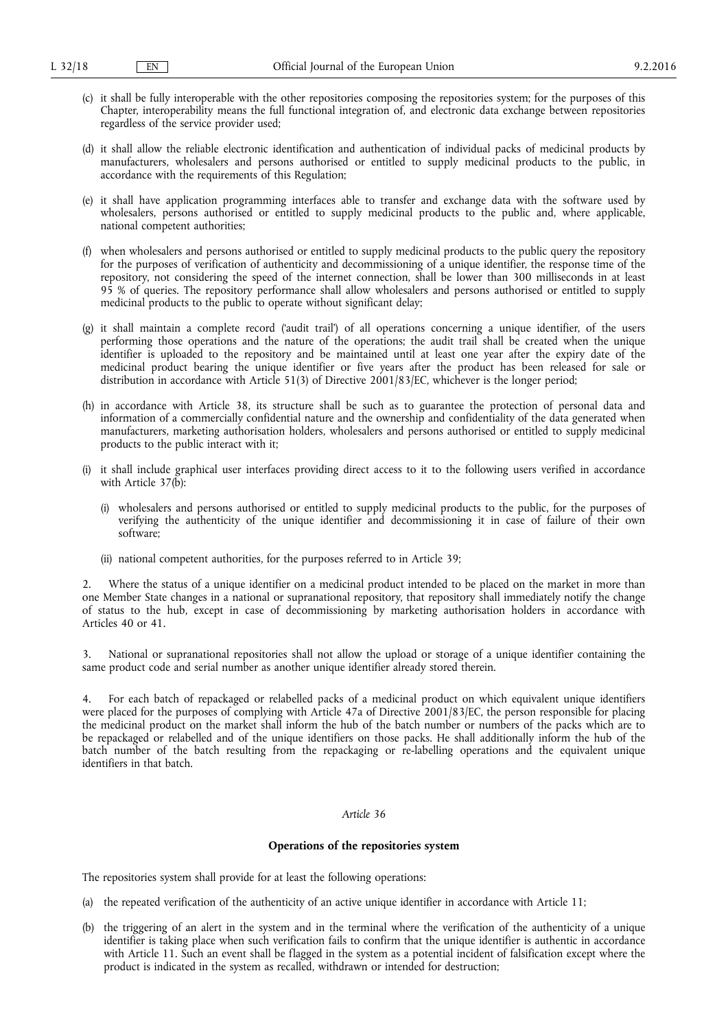- (c) it shall be fully interoperable with the other repositories composing the repositories system; for the purposes of this Chapter, interoperability means the full functional integration of, and electronic data exchange between repositories regardless of the service provider used;
- (d) it shall allow the reliable electronic identification and authentication of individual packs of medicinal products by manufacturers, wholesalers and persons authorised or entitled to supply medicinal products to the public, in accordance with the requirements of this Regulation;
- (e) it shall have application programming interfaces able to transfer and exchange data with the software used by wholesalers, persons authorised or entitled to supply medicinal products to the public and, where applicable, national competent authorities;
- (f) when wholesalers and persons authorised or entitled to supply medicinal products to the public query the repository for the purposes of verification of authenticity and decommissioning of a unique identifier, the response time of the repository, not considering the speed of the internet connection, shall be lower than 300 milliseconds in at least 95 % of queries. The repository performance shall allow wholesalers and persons authorised or entitled to supply medicinal products to the public to operate without significant delay;
- (g) it shall maintain a complete record ('audit trail') of all operations concerning a unique identifier, of the users performing those operations and the nature of the operations; the audit trail shall be created when the unique identifier is uploaded to the repository and be maintained until at least one year after the expiry date of the medicinal product bearing the unique identifier or five years after the product has been released for sale or distribution in accordance with Article 51(3) of Directive 2001/83/EC, whichever is the longer period;
- (h) in accordance with Article 38, its structure shall be such as to guarantee the protection of personal data and information of a commercially confidential nature and the ownership and confidentiality of the data generated when manufacturers, marketing authorisation holders, wholesalers and persons authorised or entitled to supply medicinal products to the public interact with it;
- (i) it shall include graphical user interfaces providing direct access to it to the following users verified in accordance with Article 37(b):
	- (i) wholesalers and persons authorised or entitled to supply medicinal products to the public, for the purposes of verifying the authenticity of the unique identifier and decommissioning it in case of failure of their own software;
	- (ii) national competent authorities, for the purposes referred to in Article 39;

2. Where the status of a unique identifier on a medicinal product intended to be placed on the market in more than one Member State changes in a national or supranational repository, that repository shall immediately notify the change of status to the hub, except in case of decommissioning by marketing authorisation holders in accordance with Articles 40 or 41.

3. National or supranational repositories shall not allow the upload or storage of a unique identifier containing the same product code and serial number as another unique identifier already stored therein.

4. For each batch of repackaged or relabelled packs of a medicinal product on which equivalent unique identifiers were placed for the purposes of complying with Article 47a of Directive 2001/83/EC, the person responsible for placing the medicinal product on the market shall inform the hub of the batch number or numbers of the packs which are to be repackaged or relabelled and of the unique identifiers on those packs. He shall additionally inform the hub of the batch number of the batch resulting from the repackaging or re-labelling operations and the equivalent unique identifiers in that batch.

### *Article 36*

### **Operations of the repositories system**

The repositories system shall provide for at least the following operations:

- (a) the repeated verification of the authenticity of an active unique identifier in accordance with Article 11;
- (b) the triggering of an alert in the system and in the terminal where the verification of the authenticity of a unique identifier is taking place when such verification fails to confirm that the unique identifier is authentic in accordance with Article 11. Such an event shall be flagged in the system as a potential incident of falsification except where the product is indicated in the system as recalled, withdrawn or intended for destruction;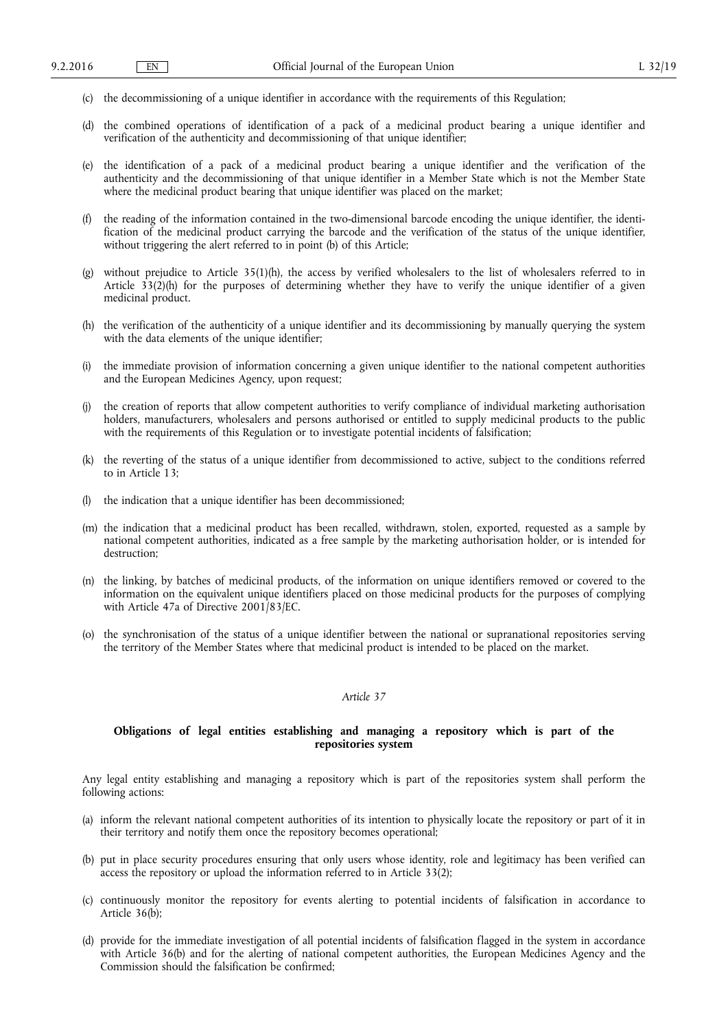- (c) the decommissioning of a unique identifier in accordance with the requirements of this Regulation;
- (d) the combined operations of identification of a pack of a medicinal product bearing a unique identifier and verification of the authenticity and decommissioning of that unique identifier;
- (e) the identification of a pack of a medicinal product bearing a unique identifier and the verification of the authenticity and the decommissioning of that unique identifier in a Member State which is not the Member State where the medicinal product bearing that unique identifier was placed on the market;
- (f) the reading of the information contained in the two-dimensional barcode encoding the unique identifier, the identification of the medicinal product carrying the barcode and the verification of the status of the unique identifier, without triggering the alert referred to in point (b) of this Article;
- (g) without prejudice to Article 35(1)(h), the access by verified wholesalers to the list of wholesalers referred to in Article 33(2)(h) for the purposes of determining whether they have to verify the unique identifier of a given medicinal product.
- (h) the verification of the authenticity of a unique identifier and its decommissioning by manually querying the system with the data elements of the unique identifier;
- (i) the immediate provision of information concerning a given unique identifier to the national competent authorities and the European Medicines Agency, upon request;
- (j) the creation of reports that allow competent authorities to verify compliance of individual marketing authorisation holders, manufacturers, wholesalers and persons authorised or entitled to supply medicinal products to the public with the requirements of this Regulation or to investigate potential incidents of falsification;
- (k) the reverting of the status of a unique identifier from decommissioned to active, subject to the conditions referred to in Article 13;
- (l) the indication that a unique identifier has been decommissioned;
- (m) the indication that a medicinal product has been recalled, withdrawn, stolen, exported, requested as a sample by national competent authorities, indicated as a free sample by the marketing authorisation holder, or is intended for destruction;
- (n) the linking, by batches of medicinal products, of the information on unique identifiers removed or covered to the information on the equivalent unique identifiers placed on those medicinal products for the purposes of complying with Article 47a of Directive 2001/83/EC.
- (o) the synchronisation of the status of a unique identifier between the national or supranational repositories serving the territory of the Member States where that medicinal product is intended to be placed on the market.

### **Obligations of legal entities establishing and managing a repository which is part of the repositories system**

Any legal entity establishing and managing a repository which is part of the repositories system shall perform the following actions:

- (a) inform the relevant national competent authorities of its intention to physically locate the repository or part of it in their territory and notify them once the repository becomes operational;
- (b) put in place security procedures ensuring that only users whose identity, role and legitimacy has been verified can access the repository or upload the information referred to in Article 33(2);
- (c) continuously monitor the repository for events alerting to potential incidents of falsification in accordance to Article 36(b);
- (d) provide for the immediate investigation of all potential incidents of falsification flagged in the system in accordance with Article 36(b) and for the alerting of national competent authorities, the European Medicines Agency and the Commission should the falsification be confirmed;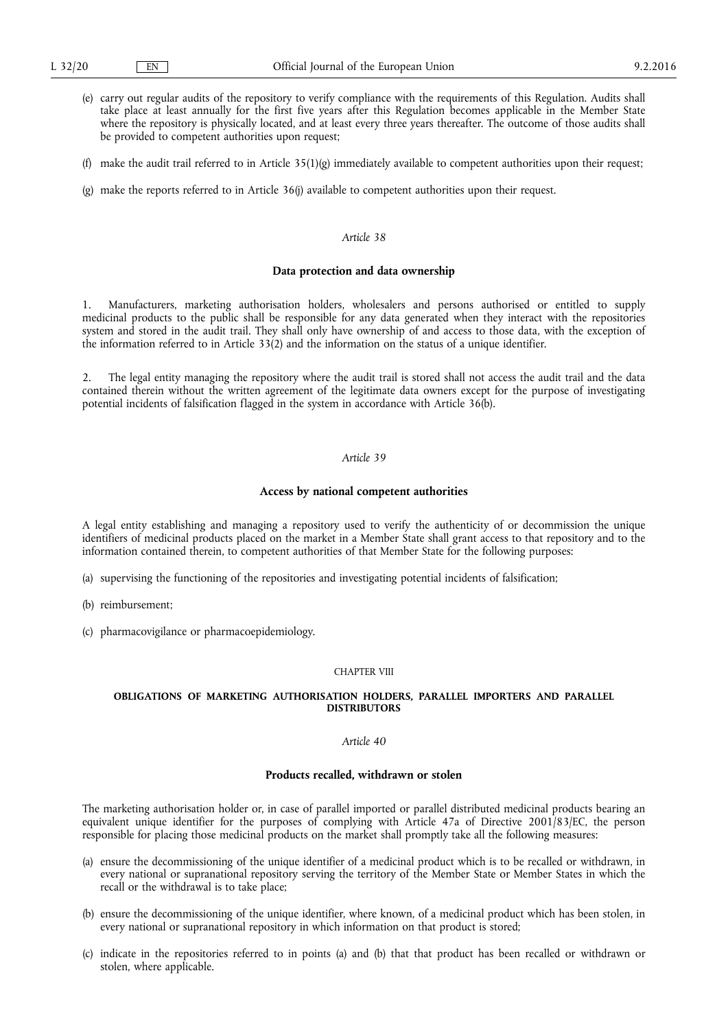- (e) carry out regular audits of the repository to verify compliance with the requirements of this Regulation. Audits shall take place at least annually for the first five years after this Regulation becomes applicable in the Member State where the repository is physically located, and at least every three years thereafter. The outcome of those audits shall be provided to competent authorities upon request;
- (f) make the audit trail referred to in Article  $35(1)(g)$  immediately available to competent authorities upon their request;
- (g) make the reports referred to in Article 36(j) available to competent authorities upon their request.

#### **Data protection and data ownership**

1. Manufacturers, marketing authorisation holders, wholesalers and persons authorised or entitled to supply medicinal products to the public shall be responsible for any data generated when they interact with the repositories system and stored in the audit trail. They shall only have ownership of and access to those data, with the exception of the information referred to in Article 33(2) and the information on the status of a unique identifier.

2. The legal entity managing the repository where the audit trail is stored shall not access the audit trail and the data contained therein without the written agreement of the legitimate data owners except for the purpose of investigating potential incidents of falsification flagged in the system in accordance with Article 36(b).

#### *Article 39*

#### **Access by national competent authorities**

A legal entity establishing and managing a repository used to verify the authenticity of or decommission the unique identifiers of medicinal products placed on the market in a Member State shall grant access to that repository and to the information contained therein, to competent authorities of that Member State for the following purposes:

- (a) supervising the functioning of the repositories and investigating potential incidents of falsification;
- (b) reimbursement;
- (c) pharmacovigilance or pharmacoepidemiology.

#### CHAPTER VIII

#### **OBLIGATIONS OF MARKETING AUTHORISATION HOLDERS, PARALLEL IMPORTERS AND PARALLEL DISTRIBUTORS**

*Article 40* 

### **Products recalled, withdrawn or stolen**

The marketing authorisation holder or, in case of parallel imported or parallel distributed medicinal products bearing an equivalent unique identifier for the purposes of complying with Article 47a of Directive 2001/83/EC, the person responsible for placing those medicinal products on the market shall promptly take all the following measures:

- (a) ensure the decommissioning of the unique identifier of a medicinal product which is to be recalled or withdrawn, in every national or supranational repository serving the territory of the Member State or Member States in which the recall or the withdrawal is to take place;
- (b) ensure the decommissioning of the unique identifier, where known, of a medicinal product which has been stolen, in every national or supranational repository in which information on that product is stored;
- (c) indicate in the repositories referred to in points (a) and (b) that that product has been recalled or withdrawn or stolen, where applicable.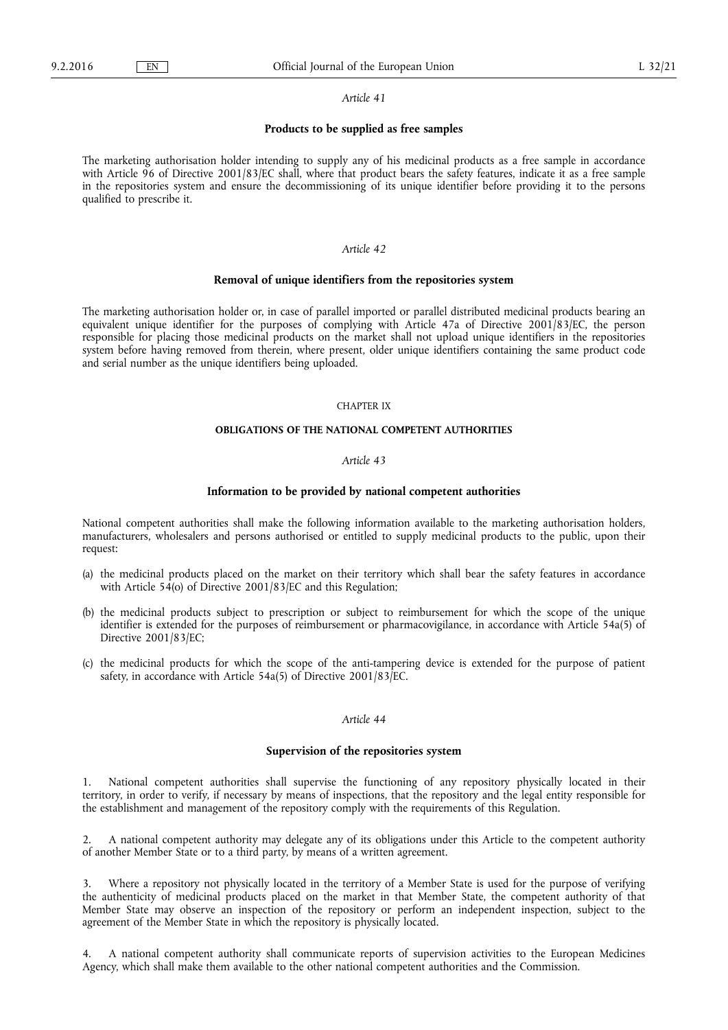### **Products to be supplied as free samples**

The marketing authorisation holder intending to supply any of his medicinal products as a free sample in accordance with Article 96 of Directive 2001/83/EC shall, where that product bears the safety features, indicate it as a free sample in the repositories system and ensure the decommissioning of its unique identifier before providing it to the persons qualified to prescribe it.

### *Article 42*

#### **Removal of unique identifiers from the repositories system**

The marketing authorisation holder or, in case of parallel imported or parallel distributed medicinal products bearing an equivalent unique identifier for the purposes of complying with Article 47a of Directive 2001/83/EC, the person responsible for placing those medicinal products on the market shall not upload unique identifiers in the repositories system before having removed from therein, where present, older unique identifiers containing the same product code and serial number as the unique identifiers being uploaded.

### CHAPTER IX

### **OBLIGATIONS OF THE NATIONAL COMPETENT AUTHORITIES**

### *Article 43*

### **Information to be provided by national competent authorities**

National competent authorities shall make the following information available to the marketing authorisation holders, manufacturers, wholesalers and persons authorised or entitled to supply medicinal products to the public, upon their request:

- (a) the medicinal products placed on the market on their territory which shall bear the safety features in accordance with Article 54(o) of Directive 2001/83/EC and this Regulation;
- (b) the medicinal products subject to prescription or subject to reimbursement for which the scope of the unique identifier is extended for the purposes of reimbursement or pharmacovigilance, in accordance with Article 54a(5) of Directive 2001/83/EC;
- (c) the medicinal products for which the scope of the anti-tampering device is extended for the purpose of patient safety, in accordance with Article 54a(5) of Directive 2001/83/EC.

#### *Article 44*

### **Supervision of the repositories system**

National competent authorities shall supervise the functioning of any repository physically located in their territory, in order to verify, if necessary by means of inspections, that the repository and the legal entity responsible for the establishment and management of the repository comply with the requirements of this Regulation.

2. A national competent authority may delegate any of its obligations under this Article to the competent authority of another Member State or to a third party, by means of a written agreement.

3. Where a repository not physically located in the territory of a Member State is used for the purpose of verifying the authenticity of medicinal products placed on the market in that Member State, the competent authority of that Member State may observe an inspection of the repository or perform an independent inspection, subject to the agreement of the Member State in which the repository is physically located.

4. A national competent authority shall communicate reports of supervision activities to the European Medicines Agency, which shall make them available to the other national competent authorities and the Commission.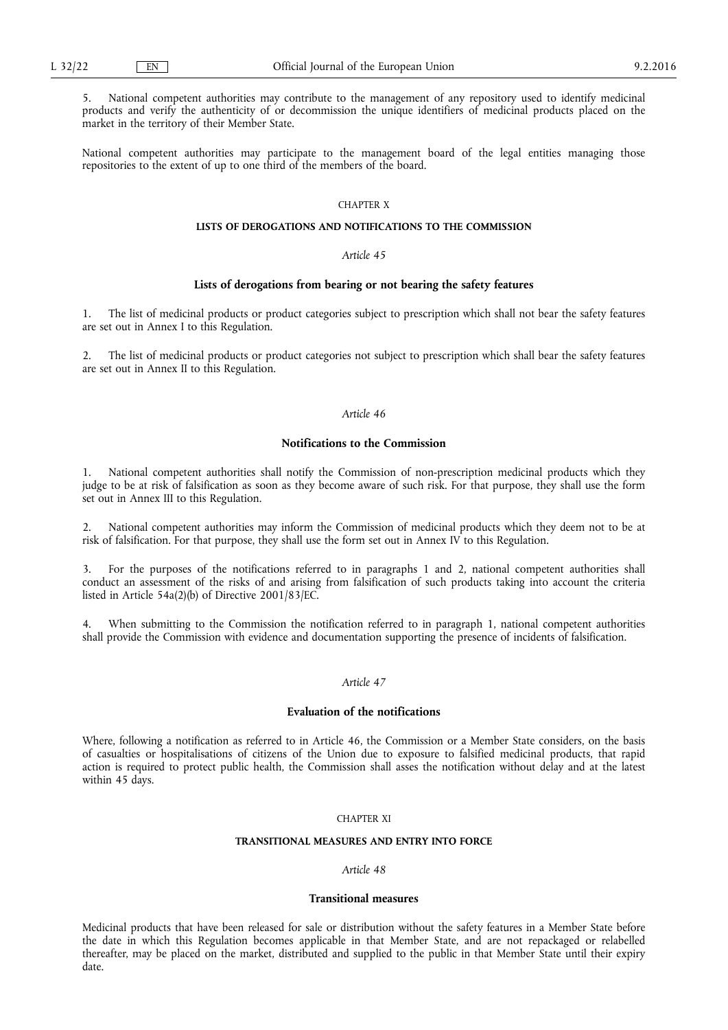5. National competent authorities may contribute to the management of any repository used to identify medicinal products and verify the authenticity of or decommission the unique identifiers of medicinal products placed on the market in the territory of their Member State.

National competent authorities may participate to the management board of the legal entities managing those repositories to the extent of up to one third of the members of the board.

#### CHAPTER X

#### **LISTS OF DEROGATIONS AND NOTIFICATIONS TO THE COMMISSION**

### *Article 45*

#### **Lists of derogations from bearing or not bearing the safety features**

1. The list of medicinal products or product categories subject to prescription which shall not bear the safety features are set out in Annex I to this Regulation.

The list of medicinal products or product categories not subject to prescription which shall bear the safety features are set out in Annex II to this Regulation.

#### *Article 46*

#### **Notifications to the Commission**

National competent authorities shall notify the Commission of non-prescription medicinal products which they judge to be at risk of falsification as soon as they become aware of such risk. For that purpose, they shall use the form set out in Annex III to this Regulation.

2. National competent authorities may inform the Commission of medicinal products which they deem not to be at risk of falsification. For that purpose, they shall use the form set out in Annex IV to this Regulation.

3. For the purposes of the notifications referred to in paragraphs 1 and 2, national competent authorities shall conduct an assessment of the risks of and arising from falsification of such products taking into account the criteria listed in Article 54a(2)(b) of Directive 2001/83/EC.

When submitting to the Commission the notification referred to in paragraph 1, national competent authorities shall provide the Commission with evidence and documentation supporting the presence of incidents of falsification.

#### *Article 47*

### **Evaluation of the notifications**

Where, following a notification as referred to in Article 46, the Commission or a Member State considers, on the basis of casualties or hospitalisations of citizens of the Union due to exposure to falsified medicinal products, that rapid action is required to protect public health, the Commission shall asses the notification without delay and at the latest within 45 days.

#### CHAPTER XI

### **TRANSITIONAL MEASURES AND ENTRY INTO FORCE**

### *Article 48*

#### **Transitional measures**

Medicinal products that have been released for sale or distribution without the safety features in a Member State before the date in which this Regulation becomes applicable in that Member State, and are not repackaged or relabelled thereafter, may be placed on the market, distributed and supplied to the public in that Member State until their expiry date.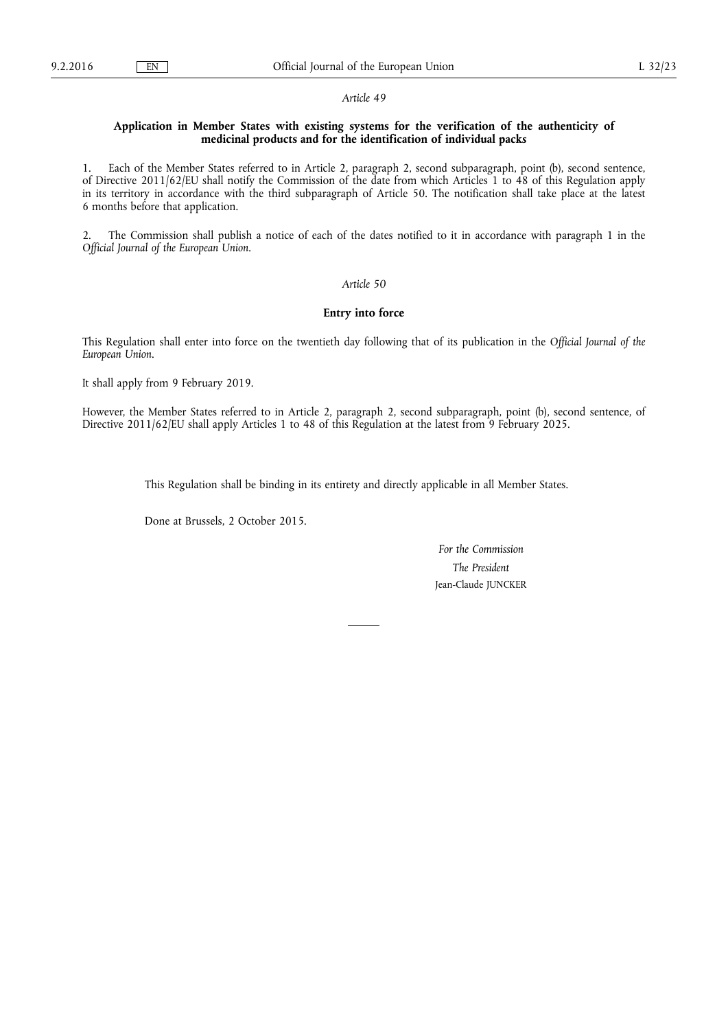### **Application in Member States with existing systems for the verification of the authenticity of medicinal products and for the identification of individual pack***s*

1. Each of the Member States referred to in Article 2, paragraph 2, second subparagraph, point (b), second sentence, of Directive 2011/62/EU shall notify the Commission of the date from which Articles 1 to 48 of this Regulation apply in its territory in accordance with the third subparagraph of Article 50. The notification shall take place at the latest 6 months before that application.

2. The Commission shall publish a notice of each of the dates notified to it in accordance with paragraph 1 in the *Official Journal of the European Union*.

### *Article 50*

### **Entry into force**

This Regulation shall enter into force on the twentieth day following that of its publication in the *Official Journal of the European Union*.

It shall apply from 9 February 2019.

However, the Member States referred to in Article 2, paragraph 2, second subparagraph, point (b), second sentence, of Directive 2011/62/EU shall apply Articles 1 to 48 of this Regulation at the latest from 9 February 2025.

This Regulation shall be binding in its entirety and directly applicable in all Member States.

Done at Brussels, 2 October 2015.

*For the Commission The President*  Jean-Claude JUNCKER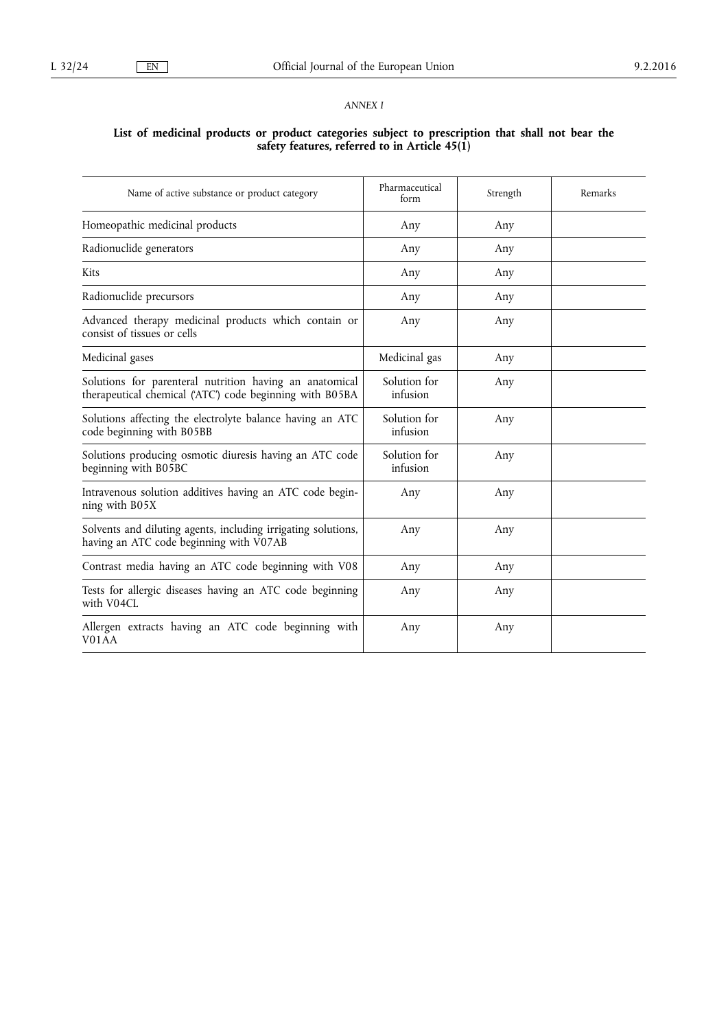# *ANNEX I*

### **List of medicinal products or product categories subject to prescription that shall not bear the safety features, referred to in Article 45(1)**

| Name of active substance or product category                                                                        | Pharmaceutical<br>form   | Strength | Remarks |
|---------------------------------------------------------------------------------------------------------------------|--------------------------|----------|---------|
| Homeopathic medicinal products                                                                                      | Any                      | Any      |         |
| Radionuclide generators                                                                                             | Any                      | Any      |         |
| Kits                                                                                                                | Any                      | Any      |         |
| Radionuclide precursors                                                                                             | Any                      | Any      |         |
| Advanced therapy medicinal products which contain or<br>consist of tissues or cells                                 | Any                      | Any      |         |
| Medicinal gases                                                                                                     | Medicinal gas            | Any      |         |
| Solutions for parenteral nutrition having an anatomical<br>therapeutical chemical ('ATC') code beginning with B05BA | Solution for<br>infusion | Any      |         |
| Solutions affecting the electrolyte balance having an ATC<br>code beginning with B05BB                              | Solution for<br>infusion | Any      |         |
| Solutions producing osmotic diuresis having an ATC code<br>beginning with B05BC                                     | Solution for<br>infusion | Any      |         |
| Intravenous solution additives having an ATC code begin-<br>ning with B05X                                          | Any                      | Any      |         |
| Solvents and diluting agents, including irrigating solutions,<br>having an ATC code beginning with V07AB            | Any                      | Any      |         |
| Contrast media having an ATC code beginning with V08                                                                | Any                      | Any      |         |
| Tests for allergic diseases having an ATC code beginning<br>with V04CL                                              | Any                      | Any      |         |
| Allergen extracts having an ATC code beginning with<br>V <sub>0</sub> 1AA                                           | Any                      | Any      |         |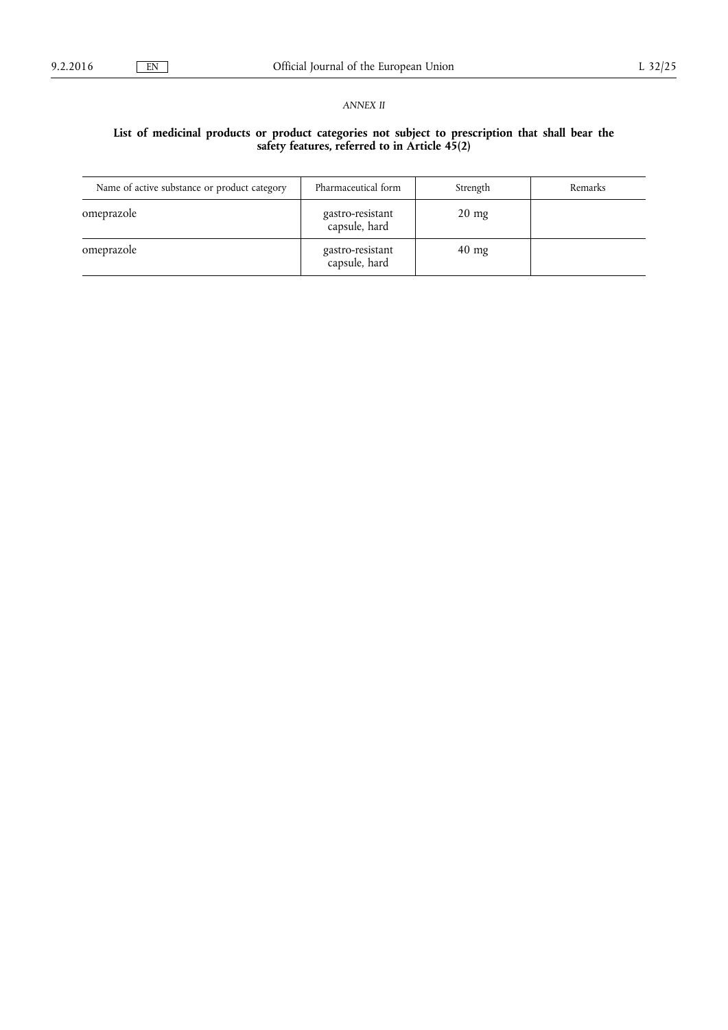# *ANNEX II*

### **List of medicinal products or product categories not subject to prescription that shall bear the safety features, referred to in Article 45(2)**

| Name of active substance or product category | Pharmaceutical form               | Strength        | Remarks |
|----------------------------------------------|-----------------------------------|-----------------|---------|
| omeprazole                                   | gastro-resistant<br>capsule, hard | $20 \text{ mg}$ |         |
| omeprazole                                   | gastro-resistant<br>capsule, hard | $40 \text{ mg}$ |         |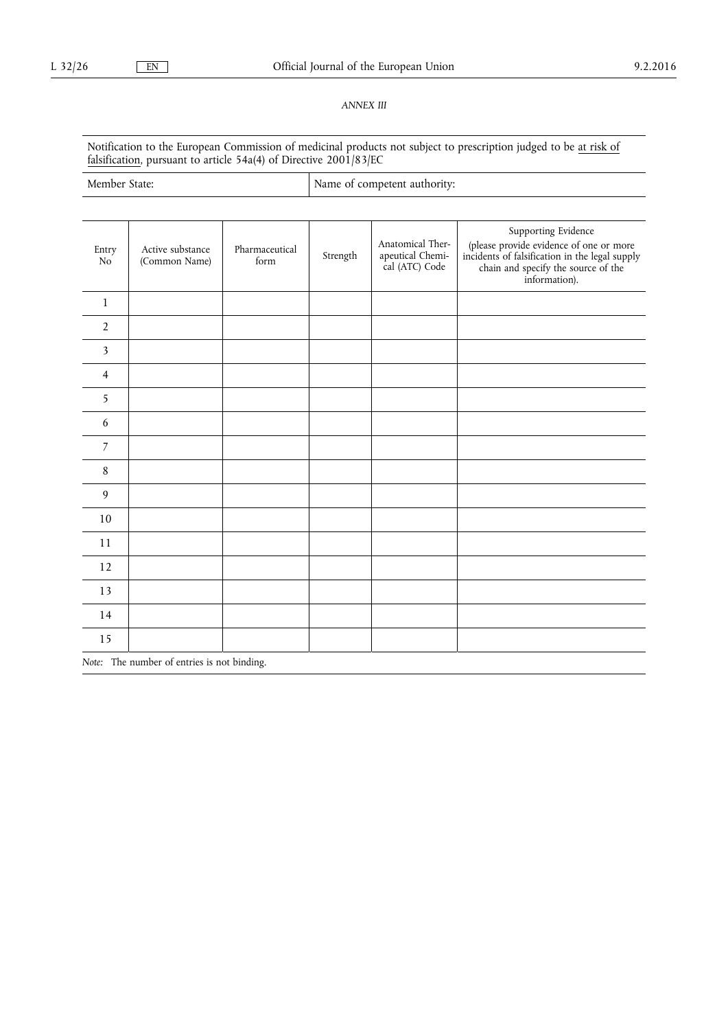# *ANNEX III*

Notification to the European Commission of medicinal products not subject to prescription judged to be at risk of falsification, pursuant to article 54a(4) of Directive 2001/83/EC

Member State: Name of competent authority:

| Entry<br>No             | Active substance<br>(Common Name) | Pharmaceutical<br>form | Strength | Anatomical Ther-<br>apeutical Chemi-<br>cal (ATC) Code | Supporting Evidence<br>(please provide evidence of one or more<br>incidents of falsification in the legal supply<br>chain and specify the source of the<br>information). |
|-------------------------|-----------------------------------|------------------------|----------|--------------------------------------------------------|--------------------------------------------------------------------------------------------------------------------------------------------------------------------------|
| $\mathbf{1}$            |                                   |                        |          |                                                        |                                                                                                                                                                          |
| $\overline{2}$          |                                   |                        |          |                                                        |                                                                                                                                                                          |
| $\overline{\mathbf{3}}$ |                                   |                        |          |                                                        |                                                                                                                                                                          |
| $\overline{4}$          |                                   |                        |          |                                                        |                                                                                                                                                                          |
| 5                       |                                   |                        |          |                                                        |                                                                                                                                                                          |
| 6                       |                                   |                        |          |                                                        |                                                                                                                                                                          |
| $\overline{7}$          |                                   |                        |          |                                                        |                                                                                                                                                                          |
| $\,8\,$                 |                                   |                        |          |                                                        |                                                                                                                                                                          |
| 9                       |                                   |                        |          |                                                        |                                                                                                                                                                          |
| 10                      |                                   |                        |          |                                                        |                                                                                                                                                                          |
| 11                      |                                   |                        |          |                                                        |                                                                                                                                                                          |
| 12                      |                                   |                        |          |                                                        |                                                                                                                                                                          |
| 13                      |                                   |                        |          |                                                        |                                                                                                                                                                          |
| 14                      |                                   |                        |          |                                                        |                                                                                                                                                                          |
| 15                      |                                   |                        |          |                                                        |                                                                                                                                                                          |
|                         |                                   |                        |          |                                                        |                                                                                                                                                                          |

*Note:* The number of entries is not binding.